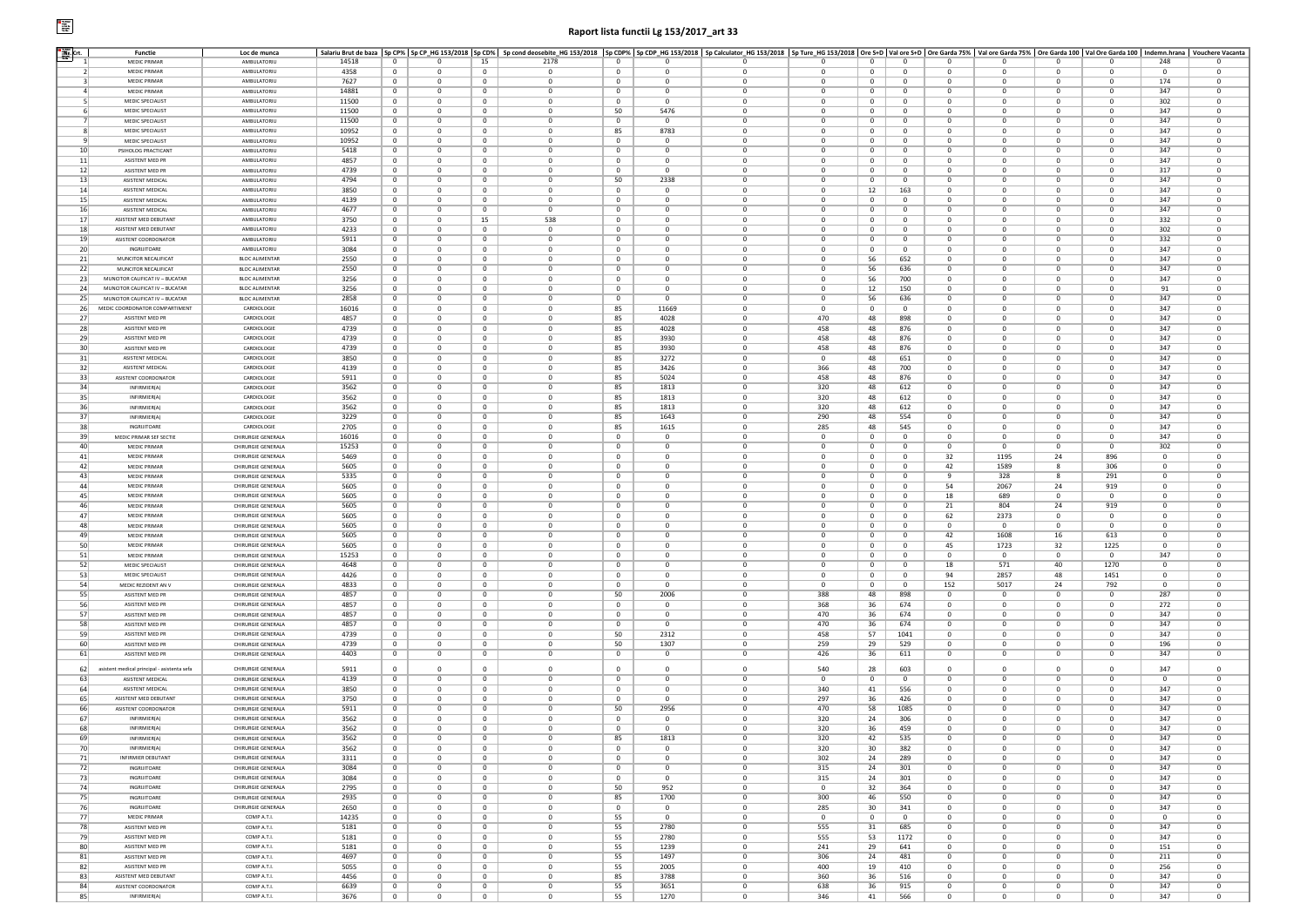## $\begin{tabular}{|c|c|} \hline \textbf{P} & \textbf{NewM} \\ \hline \textbf{reg} \\ \textbf{new} \\ \textbf{new} \\ \hline \textbf{NewM} \\ \hline \textbf{NewM} \\ \hline \end{tabular}$

## **Raport lista functii Lg 153/2017\_art 33**

| Nr. Crt.        | Functie                                     | Loc de munca          |       |                |                |                | Salariu Brut de baza  Sp CP%  Sp CP_HG 153/2018  Sp CD%  Sp cond deosebite_HG 153/2018  Sp CDP%  Sp CDP%  Sp CDP%  Sp CDP%  Sp CDP%  Sp CDP%  Sp CDP%  Sp COP%  Sp Calculator_HG 153/2018   Sp Calculator_HG 153/2018   Sp Tur |                |              |                |              |              |              |                |                |                |                |                |                         |
|-----------------|---------------------------------------------|-----------------------|-------|----------------|----------------|----------------|--------------------------------------------------------------------------------------------------------------------------------------------------------------------------------------------------------------------------------|----------------|--------------|----------------|--------------|--------------|--------------|----------------|----------------|----------------|----------------|----------------|-------------------------|
|                 | <b>MEDIC PRIMAR</b>                         | <b>AMBULATORIU</b>    | 14518 | $^{\circ}$     | $^{\circ}$     | 15             | 2178                                                                                                                                                                                                                           | 0              | $^{\circ}$   |                | 0            | $\mathbf 0$  | $^{\circ}$   | $^{\circ}$     | $^{\circ}$     | $^{\circ}$     | 0              | 248            | 0                       |
| 2 <sup>1</sup>  | <b>MEDIC PRIMAR</b>                         | AMBULATORIU           | 4358  | $^{\circ}$     | $\mathbf{0}$   | $\bf{0}$       | $^{\circ}$                                                                                                                                                                                                                     | 0              | $\mathbf 0$  | $\mathbf{0}$   | $\mathbf 0$  | $\bf{0}$     | $^{\circ}$   | $^{\circ}$     | $\overline{0}$ | $^{\circ}$     | 0              | $\overline{0}$ | $\overline{0}$          |
| -31             | <b>MEDIC PRIMAR</b>                         | AMBULATORIU           | 7627  | $^{\circ}$     | $\mathbf{0}$   | $\mathbf{0}$   | $\mathbf 0$                                                                                                                                                                                                                    | $^{\circ}$     | $\mathbf 0$  | $^{\circ}$     | $^{\circ}$   | $^{\circ}$   | $^{\circ}$   | $\mathbf{0}$   | $^{\circ}$     | $\overline{0}$ | $\mathbf 0$    | 174            | $\mathbf{0}$            |
| $\vert$         | <b>MEDIC PRIMAR</b>                         | <b>AMBULATORIU</b>    | 14881 | $^{\circ}$     | $\Omega$       | $^{\circ}$     | $\Omega$                                                                                                                                                                                                                       | $^{\circ}$     | $\Omega$     | $\Omega$       | $\Omega$     | $^{\circ}$   | $^{\circ}$   | $\Omega$       | $\Omega$       | $^{\circ}$     | $\Omega$       | 347            | $\overline{0}$          |
|                 | MEDIC SPECIALIST                            | <b>AMBULATORIU</b>    |       |                | $\mathbf{0}$   |                | $^{\circ}$                                                                                                                                                                                                                     |                | $\Omega$     | $^{\circ}$     | $^{\circ}$   |              |              |                | $\Omega$       | $\overline{0}$ | $\mathbf 0$    |                |                         |
| 5 <sup>1</sup>  |                                             |                       | 11500 | $\mathbf{0}$   |                | $\bf{0}$       |                                                                                                                                                                                                                                | $\mathbf 0$    |              |                |              | $\bf{0}$     | $\bf{0}$     | $^{\circ}$     |                |                |                | 302            | $\mathbf{0}$            |
| 6               | MEDIC SPECIALIST                            | AMBULATORIU           | 11500 | $^{\circ}$     | $\mathbf{0}$   | $\mathbf 0$    | $^{\circ}$                                                                                                                                                                                                                     | 50             | 5476         | $\mathbf{0}$   | $\mathbf 0$  | $\bf{0}$     | $^{\circ}$   | $^{\circ}$     | $\overline{0}$ | $\overline{0}$ | $\mathbf 0$    | 347            | $\overline{0}$          |
| 7 <sup>1</sup>  | MEDIC SPECIALIST                            | AMBULATORIU           | 11500 | $\mathbf{0}$   | $\Omega$       | $\mathbf 0$    | $^{\circ}$                                                                                                                                                                                                                     | $\mathbf{0}$   | $\mathbf 0$  | $\Omega$       | $\mathbf 0$  | $\mathbf{0}$ | $\Omega$     | $\Omega$       | $\Omega$       | $\overline{0}$ | $\mathbf 0$    | 347            | $\overline{0}$          |
| 8               | MEDIC SPECIALIST                            | AMBULATORIU           | 10952 | $\Omega$       | $\Omega$       | $\mathbf{0}$   | $\Omega$                                                                                                                                                                                                                       | 85             | 8783         | $\Omega$       | $\Omega$     | $\Omega$     | $\Omega$     | $\Omega$       | $\Omega$       | $\Omega$       | $\Omega$       | 347            | $\Omega$                |
| 9               | MEDIC SPECIALIST                            | AMBULATORIU           | 10952 | $^{\circ}$     | $\overline{0}$ | $\bf{0}$       | $^{\circ}$                                                                                                                                                                                                                     | $\mathbf 0$    | $\mathbf{0}$ | $\Omega$       | $^{\circ}$   | $^{\circ}$   | $\Omega$     | $\mathbf{0}$   | $\Omega$       | $\Omega$       | $\mathbf 0$    | 347            | $\overline{0}$          |
| 10 <sup>1</sup> | PSIHOLOG PRACTICAN'                         | AMBULATORIU           | 5418  | $^{\circ}$     | $^{\circ}$     | 0              | $^{\circ}$                                                                                                                                                                                                                     | $\mathbf 0$    | $\mathbf{0}$ | $^{\circ}$     | $\mathbf 0$  | $^{\circ}$   | $^{\circ}$   | $\Omega$       | $^{\circ}$     | $\Omega$       | $\mathbf 0$    | 347            | $^{\circ}$              |
| 11              | ASISTENT MED PR                             | <b>AMBULATORIL</b>    | 4857  | $\mathbf{0}$   | $\overline{0}$ | 0              | $\mathbf 0$                                                                                                                                                                                                                    | 0              | $^{\circ}$   | $\mathbf{0}$   | $\mathbf 0$  | $^{\circ}$   | $\mathbf{0}$ |                | $^{\circ}$     | $^{\circ}$     | 0              | 347            | $\mathbf 0$             |
| 12              | ASISTENT MED PR                             | AMBULATORIU           | 4739  | $^{\circ}$     | $^{\circ}$     | $^{\circ}$     | $^{\circ}$                                                                                                                                                                                                                     | $^{\circ}$     | $\Omega$     | $^{\circ}$     | $^{\circ}$   | $^{\circ}$   | $\mathbf{0}$ |                | 0              | $^{\circ}$     | $\mathbf 0$    | 317            | $^{\circ}$              |
| 13              | <b>ASISTENT MEDICAL</b>                     | AMBULATORIU           | 4794  | $^{\circ}$     | $\Omega$       | $\mathbf{0}$   | $\Omega$                                                                                                                                                                                                                       | 50             | 2338         | $\Omega$       | $\Omega$     | $^{\circ}$   | $\Omega$     | $\Omega$       | $\Omega$       | $\Omega$       | $\Omega$       | 347            | $\Omega$                |
| 14              | ASISTENT MEDICAL                            | AMBULATORIU           | 3850  | $\mathbf 0$    | $\mathbf{0}$   | $\bf{0}$       | $^{\circ}$                                                                                                                                                                                                                     | $\mathbf 0$    | $\Omega$     | $\Omega$       | $\mathbf 0$  | 12           | 163          | $\Omega$       | $\Omega$       | $\overline{0}$ | $\Omega$       | 347            | $\overline{0}$          |
| 15              | ASISTENT MEDICAL                            | AMBULATORIU           | 4139  | $^{\circ}$     | $\overline{0}$ | $\mathbf 0$    | $^{\circ}$                                                                                                                                                                                                                     | $\mathbf 0$    | $\mathbf 0$  | $\mathbf{0}$   | $\mathbf 0$  | $\bf{0}$     | $^{\circ}$   |                | $\overline{0}$ | $\overline{0}$ | $\mathbf 0$    | 347            | $\overline{0}$          |
| 16              | ASISTENT MEDICAL                            | AMBULATORIU           | 4677  | $^{\circ}$     | $\overline{0}$ | $\mathbf{0}$   | $^{\circ}$                                                                                                                                                                                                                     | $\mathbf{0}$   | $\mathbf 0$  | $\mathbf{0}$   | $\mathbf 0$  | $\mathbf{0}$ | $^{\circ}$   | $\Omega$       | $\Omega$       | $\overline{0}$ | $\mathbf 0$    | 347            | $\overline{0}$          |
| 17              | ASISTENT MED DEBUTANT                       | <b>AMBULATORIU</b>    | 3750  | $\Omega$       | $^{\circ}$     | 15             | 538                                                                                                                                                                                                                            | $^{\circ}$     | $\Omega$     | $\Omega$       | $\Omega$     | $^{\circ}$   | $\Omega$     | $\Omega$       | $\Omega$       | $\Omega$       | $\Omega$       | 332            | $^{\circ}$              |
| 18              | ASISTENT MED DEBUTANT                       | AMBULATORIU           | 4233  | $^{\circ}$     | $\overline{0}$ | $\bf{0}$       | 0                                                                                                                                                                                                                              | $\mathbf 0$    | $\mathbf{0}$ | $\mathbf{0}$   | 0            | $\bf{0}$     | $^{\circ}$   | $\overline{0}$ | $^{\circ}$     | $\overline{0}$ | $\mathbf 0$    | 302            | $\mathbf{0}$            |
| 19              | ASISTENT COORDONATOR                        | AMBULATORIU           | 5911  | $\bf{0}$       | $\overline{0}$ | 0              | 0                                                                                                                                                                                                                              | 0              | $\mathbf 0$  | $\mathbf{0}$   | $\mathbf 0$  | $\bf{0}$     | $^{\circ}$   | $^{\circ}$     | $\overline{0}$ | $^{\circ}$     | $\mathbf 0$    | 332            | $\overline{0}$          |
| 20              | INGRIJITOARE                                | AMBULATORIU           | 3084  | $^{\circ}$     | $\mathbf{0}$   | $\circ$        | $^{\circ}$                                                                                                                                                                                                                     | $^{\circ}$     | $\mathbf 0$  | $\mathbf{0}$   | $\mathbf{0}$ | $^{\circ}$   | $^{\circ}$   | $\overline{0}$ | $^{\circ}$     | $\overline{0}$ | $\mathbf 0$    | 347            | $\mathbf{0}$            |
| 21              | MUNCITOR NECALIFICAT                        | <b>BLOC ALIMENTAR</b> | 2550  | $^{\circ}$     | $\Omega$       | $^{\circ}$     | $\Omega$                                                                                                                                                                                                                       | $\Omega$       | $\Omega$     | $\Omega$       | $\Omega$     |              |              | $\Omega$       | $\Omega$       | $^{\circ}$     | $\Omega$       | 347            | $\overline{0}$          |
|                 |                                             | <b>BLOC ALIMENTAR</b> |       |                |                |                |                                                                                                                                                                                                                                |                |              |                |              | 56           | 652          |                |                |                |                |                |                         |
| 22              | MUNCITOR NECALIFICAT                        |                       | 2550  | $\mathbf{0}$   | $\mathbf{0}$   | $\bf{0}$       | $^{\circ}$                                                                                                                                                                                                                     | $\mathbf 0$    | $\mathbf{0}$ | $\mathbf{0}$   | $^{\circ}$   | 56           | 636          | $^{\circ}$     | $\Omega$       | $\overline{0}$ | $\mathbf 0$    | 347            | $\mathbf{0}$            |
| 23              | MUNCITOR CALIFICAT IV - BUCATAR             | <b>BLOC ALIMENTAR</b> | 3256  | $^{\circ}$     | $\overline{0}$ | $^{\circ}$     | $^{\circ}$                                                                                                                                                                                                                     | $\mathbf 0$    | $\mathbf 0$  | $\mathbf{0}$   | $\mathbf{0}$ | 56           | 700          | $^{\circ}$     | $\overline{0}$ | $\overline{0}$ | $\mathbf 0$    | 347            | $\overline{0}$          |
| 24              | MUNCITOR CALIFICAT IV - BUCATAR             | <b>BLOC ALIMENTAR</b> | 3256  | $\mathbf{0}$   | $\overline{0}$ | $\mathbf 0$    | $^{\circ}$                                                                                                                                                                                                                     | $\mathbf{0}$   | $^{\circ}$   | $\mathbf{0}$   | $\mathbf 0$  | 12           | 150          | $\Omega$       | $\Omega$       | $\overline{0}$ | $\mathbf 0$    | 91             | $\overline{0}$          |
| 25              | MUNCITOR CALIFICAT IV - BUCATAR             | <b>BLOC ALIMENTAR</b> | 2858  | $\Omega$       | $\Omega$       | $\mathbf{0}$   | $\Omega$                                                                                                                                                                                                                       | $\Omega$       | $\Omega$     | $\Omega$       | $\Omega$     | 56           | 636          | $\Omega$       | $\Omega$       | $\Omega$       | $\Omega$       | 347            | $\Omega$                |
| 26              | MEDIC COORDONATOR COMPARTIMENT              | CARDIOLOGIE           | 16016 | $^{\circ}$     | $\overline{0}$ | $\bf{0}$       | $^{\circ}$                                                                                                                                                                                                                     | 85             | 11669        | $\mathbf{0}$   | 0            | $\bf{0}$     | $^{\circ}$   | $\mathbf{0}$   | $\Omega$       | $\overline{0}$ | $\mathbf 0$    | 347            | $\overline{0}$          |
| 27              | ASISTENT MED PR                             | CARDIOLOGIE           | 4857  | $\mathbf 0$    | $\mathbf{0}$   | 0              | 0                                                                                                                                                                                                                              | 85             | 4028         | $\mathbf{0}$   | 470          | 48           | 898          | $\mathbf{0}$   | $\overline{0}$ | $^{\circ}$     | $\mathbf 0$    | 347            | $^{\circ}$              |
| 28              | ASISTENT MED PR                             | CARDIOLOGIE           | 4739  | $^{\circ}$     | $^{\circ}$     | $\mathbf{0}$   | $^{\circ}$                                                                                                                                                                                                                     | 85             | 4028         | $\mathbf{0}$   | 458          | 48           | 876          | $^{\circ}$     | $^{\circ}$     | $^{\circ}$     | $\mathbf 0$    | 347            | $\overline{0}$          |
| 29              | ASISTENT MED PR                             | CARDIOLOGIE           | 4739  | $^{\circ}$     | $\Omega$       | $^{\circ}$     | $\Omega$                                                                                                                                                                                                                       | 85             | 3930         | $\Omega$       | 458          | 48           | 876          | $\Omega$       | $\Omega$       | $^{\circ}$     | $\Omega$       | 347            | $^{\circ}$              |
| 30              | ASISTENT MED PR                             | CARDIOLOGIE           | 4739  | $\mathbf 0$    | $^{\circ}$     | $\bf{0}$       | $^{\circ}$                                                                                                                                                                                                                     | 85             | 3930         | $^{\circ}$     | 458          | 48           | 876          | $^{\circ}$     | $^{\circ}$     | $\overline{0}$ | $\mathbf 0$    | 347            | $\overline{0}$          |
| 31              | ASISTENT MEDICAL                            | CARDIOLOGIE           | 3850  | $^{\circ}$     | $\mathbf{0}$   | $\mathbf 0$    | $^{\circ}$                                                                                                                                                                                                                     | 85             | 3272         | $\mathbf{0}$   | $\mathbf{0}$ | 48           | 651          | $^{\circ}$     | $\overline{0}$ | $\overline{0}$ | $\mathbf 0$    | 347            | $\overline{0}$          |
| 32              | ASISTENT MEDICAL                            | CARDIOLOGIE           | 4139  | $\mathbf{0}$   | $\Omega$       | $\mathbf 0$    | $\mathbf 0$                                                                                                                                                                                                                    | 85             | 3426         | $\Omega$       | 366          | 48           | 700          | $\Omega$       | 0              | $\Omega$       | $\Omega$       | 347            | $\overline{0}$          |
| 33              | ASISTENT COORDONATOR                        | CARDIOLOGIE           | 5911  | $\Omega$       | $\Omega$       | $\bf{0}$       | $\Omega$                                                                                                                                                                                                                       | 85             | 5024         | $\Omega$       | 458          | 48           | 876          | $\Omega$       | $\Omega$       | $\Omega$       | $\Omega$       | 347            | $^{\circ}$              |
| 34              | INFIRMIER(A)                                | CARDIOLOGIE           | 3562  | $^{\circ}$     | $^{\circ}$     | $\bf{0}$       | $^{\circ}$                                                                                                                                                                                                                     | 85             | 1813         | $\mathbf{0}$   | 320          | 48           | 612          | $\mathbf{0}$   | $\Omega$       | $\overline{0}$ | $\mathbf 0$    | 347            | $\mathbf{0}$            |
|                 | INFIRMIER(A)                                | CARDIOLOGIE           |       |                | $\mathbf{0}$   |                |                                                                                                                                                                                                                                |                |              | $\mathbf{0}$   |              |              |              | $\mathbf{0}$   | $\overline{0}$ | $^{\circ}$     | $\mathbf 0$    |                |                         |
| 35              |                                             |                       | 3562  | $\bf{0}$       |                | 0              | 0                                                                                                                                                                                                                              | 85             | 1813         |                | 320          | 48           | 612          |                |                |                |                | 347            | $\mathbf{0}$            |
| 36              | INFIRMIER(A)                                | CARDIOLOGIE           | 3562  | $^{\circ}$     | $^{\circ}$     | $\circ$        | $^{\circ}$                                                                                                                                                                                                                     | 85             | 1813         | $\mathbf{0}$   | 320          | 48           | 612          | $^{\circ}$     | $^{\circ}$     | $\overline{0}$ | $\mathbf 0$    | 347            | $\mathbf{0}$            |
| 37              | INFIRMIER(A)                                | CARDIOLOGIE           | 3229  | $^{\circ}$     | $\Omega$       | $^{\circ}$     | $\Omega$                                                                                                                                                                                                                       | 85             | 1643         | $\Omega$       | 290          | 48           | 554          | $\Omega$       | $\Omega$       | $^{\circ}$     | 0              | 347            | $\overline{0}$          |
| 38              | <b>INGRUITOARE</b>                          | CARDIOLOGIE           | 2705  | $\mathbf{0}$   | $\mathbf{0}$   | $\bf{0}$       | $^{\circ}$                                                                                                                                                                                                                     | 85             | 1615         | $^{\circ}$     | 285          | 48           | 545          | $^{\circ}$     | $^{\circ}$     | $\overline{0}$ | $\mathbf 0$    | 347            | $\mathbf{0}$            |
| 39              | MEDIC PRIMAR SEF SECTIE                     | CHIRURGIE GENERALA    | 16016 | $^{\circ}$     | $\overline{0}$ | $^{\circ}$     | $^{\circ}$                                                                                                                                                                                                                     | $\mathbf 0$    | $^{\circ}$   | $\mathbf{0}$   | $\mathbf 0$  | $\bf{0}$     | $^{\circ}$   | $^{\circ}$     | $\overline{0}$ | $\overline{0}$ | $\mathbf 0$    | 347            | $\overline{0}$          |
| 40              | <b>MEDIC PRIMAR</b>                         | CHIRURGIE GENERALA    | 15253 | $\mathbf{0}$   | $\Omega$       | $\mathbf 0$    | $\overline{0}$                                                                                                                                                                                                                 | $\mathbf{0}$   | $^{\circ}$   | $\Omega$       | $\mathbf 0$  | $^{\circ}$   | $\Omega$     | $\Omega$       | $\Omega$       | $\Omega$       | $\mathbf 0$    | 302            | $\Omega$                |
| 41              | <b>MEDIC PRIMAR</b>                         | CHIRLIRGIE GENERALA   | 5469  | $^{\circ}$     | $\Omega$       | $^{\circ}$     | $\overline{0}$                                                                                                                                                                                                                 | $^{\circ}$     | $^{\circ}$   | $\Omega$       | $^{\circ}$   | $^{\circ}$   | $\Omega$     | 32             | 1195           | 24             | 896            | $\overline{0}$ | $\Omega$                |
| 42              | <b>MEDIC PRIMAR</b>                         | CHIRLIRGIE GENERALA   | 5605  | $\Omega$       | $\Omega$       | $\mathbf{0}$   | $\Omega$                                                                                                                                                                                                                       | $^{\circ}$     | $\Omega$     | $\Omega$       | $\Omega$     | $\Omega$     | $\Omega$     | 42             | 1589           |                | 306            | $\Omega$       | $\Omega$                |
| 43              | <b>MEDIC PRIMAR</b>                         | CHIRURGIE GENERAL/    | 5335  | $^{\circ}$     | $\overline{0}$ | $\mathbf 0$    | $^{\circ}$                                                                                                                                                                                                                     | $\mathbf 0$    | $^{\circ}$   | $\Omega$       | $\mathbf 0$  | 0            | $^{\circ}$   |                | 328            |                | 291            | $^{\circ}$     | $\Omega$                |
| 44              | <b>MEDIC PRIMAR</b>                         | CHIRURGIE GENERALA    | 5605  | $^{\circ}$     | $\overline{0}$ | 0              | $\mathbf 0$                                                                                                                                                                                                                    | 0              | $\mathbf 0$  | $\mathbf{0}$   | $\mathbf 0$  | $\bf{0}$     | $^{\circ}$   | 54             | 2067           | 24             | 919            | $\overline{0}$ | $^{\circ}$              |
| 45              | <b>MEDIC PRIMAR</b>                         | CHIRURGIE GENERALA    | 5605  | $^{\circ}$     | $^{\circ}$     | $\mathbf{0}$   | $^{\circ}$                                                                                                                                                                                                                     | $^{\circ}$     | $^{\circ}$   | $^{\circ}$     | $\mathbf 0$  | $^{\circ}$   | $^{\circ}$   | 18             | 689            | $^{\circ}$     | $\overline{0}$ | $^{\circ}$     | $^{\circ}$              |
| 46              | <b>MEDIC PRIMAR</b>                         | CHIRURGIE GENERALA    | 5605  | $^{\circ}$     | $\Omega$       | $\mathbf{0}$   | $\Omega$                                                                                                                                                                                                                       | $^{\circ}$     | $\Omega$     | $\Omega$       | $\Omega$     | $^{\circ}$   | $^{\circ}$   | 21             | 804            | -24            | 919            | $\Omega$       | $\Omega$                |
| 47              | <b>MEDIC PRIMAR</b>                         | CHIRURGIE GENERALA    | 5605  | $\mathbf 0$    | $\mathbf{0}$   | $\bf{0}$       | $^{\circ}$                                                                                                                                                                                                                     | $\mathbf{0}$   | $\mathbf{0}$ | $^{\circ}$     | $\mathbf 0$  | $\mathbf{0}$ | $\bf{0}$     | 62             | 2373           | $\mathbf{0}$   | $\mathbf 0$    | $^{\circ}$     | $\overline{0}$          |
| 48              | <b>MEDIC PRIMAR</b>                         | CHIRURGIE GENERALA    | 5605  | $^{\circ}$     | $\mathbf{0}$   | $\mathbf 0$    | $^{\circ}$                                                                                                                                                                                                                     | $\mathbf 0$    | $\mathbf 0$  | $\mathbf{0}$   | $\mathbf 0$  | $\bf{0}$     | $^{\circ}$   | $^{\circ}$     | $\mathbf{0}$   | $\overline{0}$ | $\mathbf 0$    | $\mathbf 0$    | $\overline{0}$          |
| 49              | <b>MEDIC PRIMAR</b>                         | CHIRURGIE GENERALA    | 5605  | $\mathbf{0}$   | $\Omega$       | $\mathbf{0}$   | $^{\circ}$                                                                                                                                                                                                                     | $\mathbf{0}$   | $^{\circ}$   | $\Omega$       | $\mathbf 0$  | $\mathbf{0}$ | $\Omega$     | 42             | 1608           | 16             | 613            | $\mathbf{0}$   | $\Omega$                |
| 50              | <b>MEDIC PRIMAR</b>                         | CHIRURGIE GENERALA    | 5605  | $\Omega$       | $\Omega$       | $\bf{0}$       | $\Omega$                                                                                                                                                                                                                       | $\Omega$       | $\Omega$     | $\Omega$       | $\Omega$     | $^{\circ}$   | $\Omega$     | 45             | 1723           | 32             | 1225           | $\Omega$       | $\Omega$                |
| 51              | <b>MEDIC PRIMAR</b>                         | CHIRURGIE GENERALA    | 15253 | $^{\circ}$     | $\mathbf{0}$   | $\bf{0}$       | $^{\circ}$                                                                                                                                                                                                                     | $\mathbf 0$    | $\Omega$     | $\mathbf{0}$   | $^{\circ}$   | $\bf{0}$     | $^{\circ}$   | $\mathbf{0}$   | $^{\circ}$     | $\overline{0}$ | $\mathbf 0$    | 347            | $\mathbf{0}$            |
| 52              | MEDIC SPECIALIST                            | CHIRURGIE GENERALA    | 4648  | $^{\circ}$     | $\mathbf{0}$   | 0              | 0                                                                                                                                                                                                                              | 0              | $\mathbf 0$  | $\mathbf{0}$   | $\mathbf 0$  | $\bf{0}$     | $^{\circ}$   | 18             | 571            | 40             | 1270           | $\mathbf{0}$   | $\overline{\mathbf{0}}$ |
| 53              | MEDIC SPECIALIST                            | CHIRURGIE GENERALA    | 4426  |                | $\mathbf{0}$   | $\mathbf{0}$   | $^{\circ}$                                                                                                                                                                                                                     | $\mathbf{0}$   | $^{\circ}$   | $\mathbf{0}$   | $^{\circ}$   |              |              | 94             | 2857           | 48             | 1451           |                | $\mathbf{0}$            |
|                 |                                             |                       |       | $^{\circ}$     |                |                |                                                                                                                                                                                                                                |                |              |                |              | $^{\circ}$   | $^{\circ}$   |                |                |                |                | $^{\circ}$     |                         |
| 54              | MEDIC REZIDENT AN V                         | CHIRURGIE GENERALA    | 4833  | $^{\circ}$     | $\Omega$       | $^{\circ}$     | $\Omega$                                                                                                                                                                                                                       | $\Omega$       | $\Omega$     | $\Omega$       | $\Omega$     | $^{\circ}$   | $\Omega$     | 152            | 5017           | 24             | 792            | $\Omega$       | $\overline{0}$          |
| 55              | ASISTENT MED PR                             | CHIRURGIE GENERALA    | 4857  | $\mathbf{0}$   | $^{\circ}$     | $\bf{0}$       | $^{\circ}$                                                                                                                                                                                                                     | 50             | 2006         | $^{\circ}$     | 388          | 48           | 898          | $^{\circ}$     | $^{\circ}$     | $\mathbf{0}$   | $\mathbf 0$    | 287            | $\mathbf{0}$            |
| 56              | ASISTENT MED PR                             | CHIRURGIE GENERALA    | 4857  | $^{\circ}$     | $\mathbf{0}$   | $^{\circ}$     | $^{\circ}$                                                                                                                                                                                                                     | $\mathbf 0$    | $^{\circ}$   | $\mathbf{0}$   | 368          | 36           | 674          | $^{\circ}$     | $\overline{0}$ | $\overline{0}$ | $\mathbf 0$    | 272            | $\overline{0}$          |
| 57              | ASISTENT MED PR                             | CHIRURGIE GENERALA    | 4857  | $\mathbf{0}$   | $\Omega$       | $\mathbf 0$    | $^{\circ}$                                                                                                                                                                                                                     | $\mathbf{0}$   | $\mathbf 0$  | $\Omega$       | 470          | 36           | 674          | $\Omega$       | $\Omega$       | $\Omega$       | $\mathbf 0$    | 347            | $\overline{0}$          |
| 58              | ASISTENT MED PR                             | CHIRURGIE GENERALA    | 4857  | $\Omega$       | $\Omega$       | $\mathbf{0}$   | $\Omega$                                                                                                                                                                                                                       | $\Omega$       | $\Omega$     | $\Omega$       | 470          | 36           | 674          | $\Omega$       | $\Omega$       | $\Omega$       | $\Omega$       | 347            | $\Omega$                |
| 59              | ASISTENT MED PR                             | CHIRURGIE GENERALA    | 4739  | $^{\circ}$     | $\mathbf{0}$   | $\bf{0}$       | 0                                                                                                                                                                                                                              | 50             | 2312         | $\mathbf{0}$   | 458          | 57           | 1041         | $\mathbf 0$    | $\Omega$       | $\overline{0}$ | $\mathbf 0$    | 347            | $\overline{0}$          |
| 60              | ASISTENT MED PR                             | CHIRURGIE GENERALA    | 4739  | $\mathbf 0$    | $\mathbf{0}$   | 0              | 0                                                                                                                                                                                                                              | 50             | 1307         | $\mathbf{0}$   | 259          | 29           | 529          | $\mathbf{0}$   | $\mathbf 0$    | $^{\circ}$     | 0              | 196            | $\overline{0}$          |
| 61              | ASISTENT MED PR                             | CHIRURGIE GENERALA    | 4403  | $\mathbf{0}$   | $^{\circ}$     | $\bf{0}$       | $^{\circ}$                                                                                                                                                                                                                     | $\overline{0}$ | $\mathbf{0}$ | $^{\circ}$     | 426          | 36           | 611          | $\mathbf{0}$   | $^{\circ}$     | $\overline{0}$ | $\mathbf{0}$   | 347            | $\overline{0}$          |
|                 |                                             | CHIRURGIE GENERALA    |       | $\Omega$       | $\mathbf{0}$   | $\mathbf 0$    | $^{\circ}$                                                                                                                                                                                                                     | $\mathbf{0}$   | $\Omega$     | $\mathbf{0}$   |              |              |              | $\Omega$       | $\Omega$       | $\Omega$       | $\Omega$       | 347            | $\overline{0}$          |
| 62              | asistent medical principal - asistenta sefa |                       | 5911  |                |                |                |                                                                                                                                                                                                                                |                |              |                | 540          | 28           | 603          |                |                |                |                |                |                         |
| 63              | ASISTENT MEDICAL                            | CHIRURGIE GENERALA    | 4139  | $^{\circ}$     | $\mathbf{0}$   | $^{\circ}$     | $^{\circ}$                                                                                                                                                                                                                     | $\mathbf 0$    | $\mathbf 0$  | $\mathbf{0}$   | $\mathbf 0$  | $\bf{0}$     | $^{\circ}$   | $^{\circ}$     | $\overline{0}$ | $\overline{0}$ | $\mathbf 0$    | $\overline{0}$ | $\overline{0}$          |
| 64              | ASISTENT MEDICAL                            | CHIRURGIE GENERALA    | 3850  | $^{\circ}$     | $\Omega$       | $\mathbf 0$    | $^{\circ}$                                                                                                                                                                                                                     | $\mathbf{0}$   | $^{\circ}$   | $\mathbf{0}$   | 340          | 41           | 556          | $\Omega$       | $\Omega$       | $\overline{0}$ | $\mathbf 0$    | 347            | $\overline{0}$          |
| 65              | ASISTENT MED DEBUTANT                       | CHIRLIRGIE GENERALA   | 3750  | $\Omega$       | $\Omega$       | $\mathbf{0}$   | $\Omega$                                                                                                                                                                                                                       | $\Omega$       | $\Omega$     | $\Omega$       | 297          | 36           | 426          | $\Omega$       | 0              | $\Omega$       | $\Omega$       | 347            | $\Omega$                |
| 66              | ASISTENT COORDONATOR                        | CHIRURGIE GENERALA    | 5911  | $^{\circ}$     | $\mathbf{0}$   | $\bf{0}$       | $^{\circ}$                                                                                                                                                                                                                     | 50             | 2956         | $\mathbf{0}$   | 470          | 58           | 1085         | $\mathbf{0}$   | $\Omega$       | $\Omega$       | $\mathbf 0$    | 347            | $^{\circ}$              |
| 67              | INFIRMIER(A)                                | CHIRURGIE GENERALA    | 3562  | $^{\circ}$     | $\mathbf{0}$   | 0              | $^{\circ}$                                                                                                                                                                                                                     | 0              | $\mathbf 0$  | $\mathbf{0}$   | 320          | 24           | 306          | $^{\circ}$     | $\overline{0}$ | $^{\circ}$     | $\mathbf 0$    | 347            | $^{\circ}$              |
| 68              | INFIRMIER(A)                                | CHIRURGIE GENERALA    | 3562  | $^{\circ}$     | $^{\circ}$     | $\mathbf{0}$   | $^{\circ}$                                                                                                                                                                                                                     | $^{\circ}$     | $\mathbf{0}$ | $\mathbf{0}$   | 320          | 36           | 459          | $\mathbf{0}$   | $^{\circ}$     | $\overline{0}$ | $\mathbf 0$    | 347            | $\overline{0}$          |
| 69              | INFIRMIER(A)                                | CHIRURGIE GENERALA    | 3562  | $\mathbf{0}$   | $\mathbf 0$    | 0              | $^{\circ}$                                                                                                                                                                                                                     | 85             | 1813         | $^{\circ}$     | 320          | 42           | 535          | - 0            | 0              | 0              | 0              | 347            | $\mathbf 0$             |
| 70              | INFIRMIER(A)                                | CHIRURGIE GENERALA    | 3562  | $\mathbf{0}$   | $\mathbf 0$    | $\mathbf{0}$   | $\mathbf{0}$                                                                                                                                                                                                                   | $\mathbf 0$    | $\mathbf{0}$ | $\bf{0}$       | 320          | 30           | 382          | $\mathbf{0}$   | $^{\circ}$     | $\mathbf{0}$   | $\mathbf 0$    | 347            | $\mathbf{0}$            |
| 71              | INFIRMIER DEBUTANT                          | CHIRURGIE GENERALA    | 3311  | $^{\circ}$     | $\mathbf{0}$   | $\bf{0}$       | $\mathbf{0}$                                                                                                                                                                                                                   | $\mathbf 0$    | $^{\circ}$   | $^{\circ}$     | 302          | 24           | 289          | $^{\circ}$     | $^{\circ}$     | $\overline{0}$ | $\mathbf 0$    | 347            | $\overline{0}$          |
| 72              | INGRIJITOARE                                | CHIRURGIE GENERALA    | 3084  | $\circ$        | $\mathbf{0}$   | $\mathbf{0}$   | $\mathbf 0$                                                                                                                                                                                                                    | $\mathbf{0}$   | $\mathbf{0}$ | $\circ$        | 315          | 24           | 301          | $\mathbf{0}$   | $^{\circ}$     | $\mathbf{0}$   | $\mathbf 0$    | 347            | $\mathbf{0}$            |
| 73              | <b>INGRUITOARE</b>                          | CHIRURGIE GENERALA    | 3084  | $\Omega$       | $^{\circ}$     | $\overline{0}$ | $\mathbf{0}$                                                                                                                                                                                                                   | $\Omega$       | $\Omega$     | $^{\circ}$     | 315          | 24           | 301          | $\Omega$       | $\Omega$       | $\overline{0}$ | $\mathbf 0$    | 347            | $\overline{0}$          |
| 74              | <b>INGRUITOARE</b>                          | CHIRURGIE GENERALA    | 2795  | $\mathbf{0}$   | $\mathbf 0$    | $\mathbf{0}$   | $\mathbf{0}$                                                                                                                                                                                                                   | 50             | 952          | $\mathbf{0}$   | $\mathbf{0}$ | 32           | 364          | $\mathbf 0$    | $^{\circ}$     | $\mathbf{0}$   | 0              | 347            | $\mathbf{0}$            |
| 75              | INGRIJITOARE                                | CHIRURGIE GENERALA    | 2935  | $\bf{0}$       | $\mathbf{0}$   | $\mathbf{0}$   | $\circ$                                                                                                                                                                                                                        | 85             | 1700         | $\mathbf{0}$   | 300          | 46           | 550          | $\mathbf{0}$   | $^{\circ}$     | $\mathbf{0}$   | $\mathbf 0$    | 347            | $\mathbf{0}$            |
| 76              | INGRIJITOARE                                | CHIRURGIE GENERALA    | 2650  | $^{\circ}$     | $\mathbf{0}$   | $\mathbf{0}$   | $\mathbf{0}$                                                                                                                                                                                                                   | $\mathbf{0}$   | $\mathbf{0}$ | $\overline{0}$ | 285          | 30           | 341          | $\mathbf{0}$   | $^{\circ}$     | $\mathbf{0}$   | $\mathbf 0$    | 347            | $\mathbf{0}$            |
|                 | <b>MEDIC PRIMAR</b>                         | COMP A.T.I.           |       |                |                |                |                                                                                                                                                                                                                                |                |              | $\Omega$       | $\Omega$     |              |              |                |                |                |                |                |                         |
| 77              |                                             |                       | 14235 | $^{\circ}$     | $\Omega$       | $\mathbf{0}$   | $\Omega$                                                                                                                                                                                                                       | 55             | $\Omega$     |                |              | $^{\circ}$   | $\Omega$     | $\Omega$       | $\Omega$       | $\overline{0}$ | $\mathbf 0$    | $\Omega$       | $\mathbf{0}$            |
| 78              | ASISTENT MED PR                             | COMP A.T.I.           | 5181  | $\mathbf{0}$   | $\mathbf{0}$   | $\mathbf{0}$   | $\mathbf{0}$                                                                                                                                                                                                                   | 55             | 2780         | $\overline{0}$ | 555          | 31           | 685          | $\mathbf{0}$   | $^{\circ}$     | $\mathbf{0}$   | $\mathbf 0$    | 347            | $\mathbf{0}$            |
| 79              | ASISTENT MED PR                             | COMP A.T.I.           | 5181  | $\mathbf{0}$   | $\mathbf{0}$   | $\mathbf{0}$   | $\mathbf{0}$                                                                                                                                                                                                                   | 55             | 2780         | $\circ$        | 555          | 53           | 1172         | $\mathbf{0}$   | $^{\circ}$     | $\mathbf{0}$   | $\mathbf 0$    | 347            | $\mathbf{0}$            |
| 80              | ASISTENT MED PR                             | COMP A.T.I.           | 5181  | $\mathbf{0}$   | $\mathbf{0}$   | $\mathbf{0}$   | $\mathbf 0$                                                                                                                                                                                                                    | 55             | 1239         | $\mathbf 0$    | 241          | 29           | 641          | $\mathbf{0}$   | $\mathbf 0$    | $\mathbf{0}$   | $\mathbf 0$    | 151            | $\mathbf{0}$            |
| 81              | ASISTENT MED PR                             | COMP A.T.I.           | 4697  | $\Omega$       | $\Omega$       | $\mathbf{0}$   | $\Omega$                                                                                                                                                                                                                       | 55             | 1497         | $\Omega$       | 306          | 24           | 481          | $\Omega$       | $\Omega$       | $\Omega$       | $\Omega$       | 211            | $\overline{0}$          |
| 82              | ASISTENT MED PR                             | COMP A.T.I.           | 5055  | $^{\circ}$     | $\Omega$       | $\mathbf{0}$   | $\Omega$                                                                                                                                                                                                                       | 55             | 2005         | $\Omega$       | 400          | 19           | 410          | $\Omega$       | $\Omega$       | $\Omega$       | $\Omega$       | 256            | $\overline{0}$          |
| 83              | ASISTENT MED DEBUTANT                       | COMP A.T.I            | 4456  | $^{\circ}$     | $\mathbf 0$    | $\bf{0}$       | 0                                                                                                                                                                                                                              | 85             | 3788         | $\mathbf{0}$   | 360          | 36           | 516          | $\mathbf 0$    | $\mathbf 0$    | $\mathbf{0}$   | 0              | 347            | $\mathbf{0}$            |
| 84              | ASISTENT COORDONATOR                        | COMP A.T.I.           | 6639  | $\bf{0}$       | $\mathbf{0}$   | $\overline{0}$ | $\overline{0}$                                                                                                                                                                                                                 | 55             | 3651         | $\overline{0}$ | 638          | 36           | 915          | $\overline{0}$ | $^{\circ}$     | $\mathbf{0}$   | $\overline{0}$ | 347            | $\overline{0}$          |
| 85              | INFIRMIER(A)                                | COMP A.T.I.           | 3676  | $\overline{0}$ | $\overline{0}$ | $\overline{0}$ | $\overline{0}$                                                                                                                                                                                                                 | 55             | 1270         | $\overline{0}$ | 346          | 41           | 566          | $\overline{0}$ | $\Omega$       | $\overline{0}$ | $\overline{0}$ | 347            | $\overline{0}$          |
|                 |                                             |                       |       |                |                |                |                                                                                                                                                                                                                                |                |              |                |              |              |              |                |                |                |                |                |                         |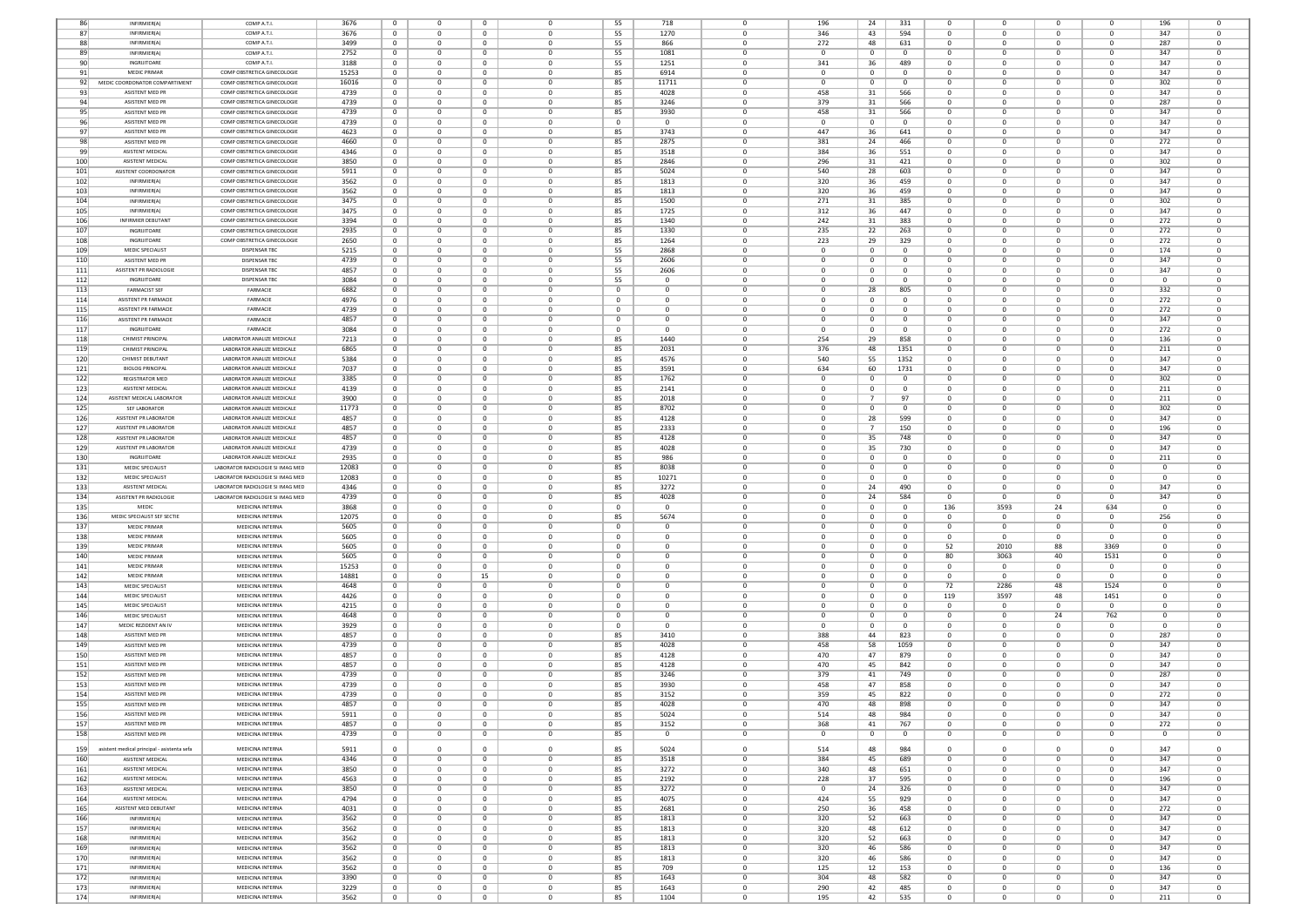| 86  | INFIRMIER(A)                                | COMP A.T.I                       | 3676  | $\mathbf{0}$   | $\Omega$     | $\mathbf{0}$   | $\Omega$                | 55             | 718            |                | 196          | 24             | 331            | $\Omega$       |              | $\Omega$       | $\Omega$       | 196          |                |
|-----|---------------------------------------------|----------------------------------|-------|----------------|--------------|----------------|-------------------------|----------------|----------------|----------------|--------------|----------------|----------------|----------------|--------------|----------------|----------------|--------------|----------------|
| 87  | INFIRMIER(A)                                | COMP A.T.I.                      | 3676  | $\overline{0}$ | $\Omega$     | $\mathbf{0}$   | $\mathbf 0$             | 55             | 1270           | $\Omega$       | 346          | 43             | 594            | $\Omega$       |              | $\Omega$       | $\Omega$       | 347          | $\Omega$       |
|     |                                             |                                  |       |                |              |                |                         |                |                |                |              |                |                |                |              |                |                |              |                |
| 88  | INFIRMIER(A)                                | COMP A.T.I.                      | 3499  | $\overline{0}$ | 0            | $\mathbf{0}$   | $\mathbf 0$             | 55             | 866            | $^{\circ}$     | 272          | 48             | 631            | $\mathbf 0$    | $\Omega$     | $\mathbf 0$    | $\mathbf{0}$   | 287          | $\mathbf 0$    |
| 89  | INFIRMIER(A)                                | COMP A.T.I.                      | 2752  | $\mathbf 0$    | 0            | $\mathbf{0}$   | $\mathbf 0$             | 55             | 1081           | $\mathbf{0}$   | $\mathbf 0$  | $\mathbf 0$    | $\overline{0}$ | $\mathbf 0$    |              | $\mathbf 0$    | $\mathbf{0}$   | 347          | $\mathbf 0$    |
| 90  | INGRIJITOARE                                | COMP A.T.I.                      | 3188  | $\overline{0}$ | $^{\circ}$   | $\mathbf{0}$   | $\mathbf 0$             | 55             | 1251           | $\mathbf{0}$   | 341          | 36             | 489            | $\mathbf 0$    |              | $\mathbf 0$    | $^{\circ}$     | 347          | $\mathbf{0}$   |
| 91  | <b>MEDIC PRIMAR</b>                         | COMP OBSTRETICA GINECOLOGIE      | 15253 | $^{\circ}$     | $\Omega$     | $\mathbf{0}$   | $^{\circ}$              | 85             | 6914           | $\Omega$       | $\Omega$     | $\mathbf{0}$   | $^{\circ}$     | $\circ$        |              | $\Omega$       | $^{\circ}$     | 347          | $\Omega$       |
|     | MEDIC COORDONATOR COMPARTIMENT              | COMP OBSTRETICA GINECOLOGIE      |       |                | $^{\circ}$   |                | $\mathbf 0$             |                |                | $\Omega$       | $^{\circ}$   |                | $\mathbf{0}$   |                |              | $\Omega$       | $^{\circ}$     |              | $^{\circ}$     |
| 92  |                                             |                                  | 16016 | $\overline{0}$ |              | $\overline{0}$ |                         | 85             | 11711          |                |              | $\overline{0}$ |                | $\circ$        |              |                |                | 302          |                |
| 93  | ASISTENT MED PR                             | COMP OBSTRETICA GINECOLOGIE      | 4739  | $\overline{0}$ | $\mathbf 0$  | $\mathbf{0}$   | $\mathbf 0$             | 85             | 4028           | $\mathbf{0}$   | 458          | 31             | 566            | 0              |              | $\mathbf 0$    | $\mathbf{0}$   | 347          | $\mathbf 0$    |
| 94  | ASISTENT MED PR                             | COMP OBSTRETICA GINECOLOGIE      | 4739  | $\overline{0}$ | $\mathbf 0$  | $\mathbf{0}$   | $\mathbf 0$             | 85             | 3246           | $\Omega$       | 379          | 31             | 566            | $\Omega$       |              | $\Omega$       | $\mathbf{0}$   | 287          | $\Omega$       |
| 95  | ASISTENT MED PR                             | COMP OBSTRETICA GINECOLOGIE      | 4739  | $\overline{0}$ | $^{\circ}$   | $\mathbf{0}$   | $^{\circ}$              | 85             | 3930           | $\Omega$       | 458          | 31             | 566            | 0              |              | $\Omega$       | $^{\circ}$     | 347          | $^{\circ}$     |
| 96  | ASISTENT MED PR                             |                                  | 4739  | $\overline{0}$ | $\Omega$     | $\Omega$       | $\Omega$                | $\overline{0}$ | $\Omega$       | $\Omega$       | $\Omega$     | $^{\circ}$     | $\Omega$       | $\Omega$       |              | $\Omega$       | $\Omega$       | 347          | $\Omega$       |
|     |                                             | COMP OBSTRETICA GINECOLOGIE      |       |                |              |                |                         |                |                |                |              |                |                |                |              |                |                |              |                |
| 97  | ASISTENT MED PF                             | COMP OBSTRETICA GINECOLOGIE      | 4623  | 0              | $^{\circ}$   | $\mathbf{0}$   | $\mathbf 0$             | 85             | 3743           | $^{\circ}$     | 447          | 36             | 641            | 0              |              | $^{\circ}$     | $\mathbf{0}$   | 347          | 0              |
| 98  | <b>ASISTENT MED PF</b>                      | COMP OBSTRETICA GINECOLOGIE      | 4660  | 0              | $\mathbf 0$  | $\mathbf 0$    | $\mathbf 0$             | 85             | 2875           | $\mathbf{0}$   | 381          | 24             | 466            | 0              |              | $\mathbf 0$    | 0              | 272          | $\mathbf 0$    |
| 99  | <b>ASISTENT MEDICAL</b>                     | COMP OBSTRETICA GINECOLOGIE      | 4346  | $\mathbf{0}$   | $^{\circ}$   | $\mathbf{0}$   | $\mathbf 0$             | 85             | 3518           | $^{\circ}$     | 384          | 36             | 551            | 0              |              | $^{\circ}$     | $^{\circ}$     | 347          | $\mathbf 0$    |
| 100 | <b>ASISTENT MEDICAL</b>                     | COMP OBSTRETICA GINECOLOGIE      | 3850  | $\overline{0}$ | $\Omega$     | $\mathbf{0}$   | $\Omega$                | 85             | 2846           | $\Omega$       | 296          |                | 421            | $\Omega$       |              | $\Omega$       | $^{\circ}$     | 302          | $\Omega$       |
|     |                                             |                                  |       |                |              |                |                         |                |                |                |              | 31             |                |                |              |                |                |              |                |
| 101 | ASISTENT COORDONATOR                        | COMP OBSTRETICA GINECOLOGIE      | 5911  | $\overline{0}$ | $^{\circ}$   | $\overline{0}$ | $^{\circ}$              | 85             | 5024           | $\mathbf{0}$   | 540          | 28             | 603            | 0              |              | $\Omega$       | $^{\circ}$     | 347          | $\Omega$       |
| 102 | INFIRMIER(A)                                | COMP OBSTRETICA GINECOLOGIE      | 3562  | $\overline{0}$ | $\mathbf 0$  | $\mathbf{0}$   | $\overline{0}$          | 85             | 1813           | $\mathbf{0}$   | 320          | 36             | 459            | 0              |              | $\mathbf 0$    | $\mathbf{0}$   | 347          | $\mathbf 0$    |
| 103 | INFIRMIER(A)                                | COMP OBSTRETICA GINECOLOGIE      | 3562  | $\overline{0}$ | $\mathbf{0}$ | $\mathbf{0}$   | $\mathbf 0$             | 85             | 1813           | $\Omega$       | 320          | 36             | 459            | $\Omega$       |              | $\mathbf 0$    | $^{\circ}$     | 347          | $\mathbf 0$    |
| 104 | INFIRMIER(A)                                | COMP OBSTRETICA GINECOLOGIE      | 3475  | $\overline{0}$ | $\Omega$     | $\mathbf{0}$   | $^{\circ}$              | 85             | 1500           | $\Omega$       | 271          | 31             | 385            | $\Omega$       |              | $\Omega$       | $\Omega$       | 302          | $^{\circ}$     |
|     |                                             |                                  |       |                |              |                |                         |                |                |                |              |                |                |                |              |                |                |              |                |
| 105 | INFIRMIER(A)                                | COMP OBSTRETICA GINECOLOGIE      | 3475  | $\overline{0}$ | 0            | $\mathbf{0}$   | $\mathbf 0$             | 85             | 1725           | $^{\circ}$     | 312          | 36             | 447            | $\mathbf 0$    |              | $\mathbf 0$    | $^{\circ}$     | 347          | $\mathbf 0$    |
| 106 | INFIRMIER DEBUTANT                          | COMP OBSTRETICA GINECOLOGIE      | 3394  | $\mathbf 0$    | $^{\circ}$   | $\mathbf 0$    | $\mathbf 0$             | 85             | 1340           | $\mathbf{0}$   | 242          | 31             | 383            | $\mathbf 0$    |              | $\mathbf 0$    | 0              | 272          | 0              |
| 107 | INGRIJITOARE                                | COMP OBSTRETICA GINECOLOGIE      | 2935  | $\mathbf{0}$   | $^{\circ}$   | $\mathbf{0}$   | $\mathbf 0$             | 85             | 1330           | $\mathbf{0}$   | 235          | 22             | 263            | 0              |              | $\mathbf 0$    | $^{\circ}$     | 272          | $\mathbf{0}$   |
| 108 | INGRUITOARE                                 | COMP OBSTRETICA GINECOLOGIE      | 2650  | $^{\circ}$     | $\Omega$     | $\mathbf{0}$   | $\Omega$                | 85             | 1264           | $\Omega$       | 223          | 29             | 329            | $\Omega$       | n            | $\Omega$       | $\Omega$       | 272          | $\Omega$       |
|     |                                             |                                  |       | $\overline{0}$ | $^{\circ}$   | $\mathbf{0}$   | $\mathbf 0$             |                |                | $\Omega$       | $^{\circ}$   |                | $^{\circ}$     |                | $\Omega$     | $\mathbf 0$    | $^{\circ}$     | 174          | $^{\circ}$     |
| 109 | MEDIC SPECIALIST                            | DISPENSAR TBC                    | 5215  |                |              |                |                         | 55             | 2868           |                |              | $\mathbf 0$    |                | $\circ$        |              |                |                |              |                |
| 110 | ASISTENT MED PR                             | <b>DISPENSAR TBC</b>             | 4739  | $\overline{0}$ | $\mathbf 0$  | $^{\circ}$     | $\mathbf 0$             | 55             | 2606           | $\mathbf{0}$   | $\mathbf 0$  | $\mathbf 0$    | $^{\circ}$     | 0              |              | $\mathbf 0$    | $\mathbf{0}$   | 347          | $\mathbf 0$    |
| 111 | ASISTENT PR RADIOLOGIE                      | <b>DISPENSAR TBC</b>             | 4857  | $\overline{0}$ | $^{\circ}$   | $\mathbf{0}$   | $\mathbf 0$             | 55             | 2606           | $\Omega$       | $\mathbf{0}$ | $^{\circ}$     | $\Omega$       | 0              |              | $\mathbf 0$    | $^{\circ}$     | 347          | $\mathbf 0$    |
| 112 | INGRUITOARE                                 | <b>DISPENSAR TBC</b>             | 3084  | $\mathbf{0}$   | $\Omega$     | $\Omega$       | $^{\circ}$              | 55             | $\Omega$       | $\Omega$       | $\Omega$     | $\Omega$       | $\Omega$       | $\Omega$       |              | $\Omega$       | $\Omega$       | $\Omega$     | $\Omega$       |
| 113 | <b>FARMACIST SEI</b>                        | FARMACIE                         | 6882  | $\overline{0}$ | 0            | $\mathbf 0$    | $\mathbf 0$             | $\overline{0}$ | 0              | $^{\circ}$     | 0            | 28             | 805            | 0              |              | $\mathbf 0$    | $\bf{0}$       | 332          | $\mathbf 0$    |
|     |                                             |                                  |       |                |              |                |                         |                |                |                |              |                |                |                |              |                |                |              |                |
| 114 | ASISTENT PR FARMACIE                        | FARMACIE                         | 4976  | $\mathbf 0$    | 0            | $\overline{0}$ | 0                       | $\mathbf 0$    | $\mathbf 0$    | $\mathbf{0}$   | 0            | $\mathbf 0$    | $\overline{0}$ | 0              |              | $\mathbf 0$    | $\bf{0}$       | 272          | $\mathbf 0$    |
| 115 | ASISTENT PR FARMACIE                        | FARMACIE                         | 4739  | $\overline{0}$ | $^{\circ}$   | $\mathbf{0}$   | $\mathbf 0$             | $\overline{0}$ | $\overline{0}$ | $^{\circ}$     | $^{\circ}$   | $^{\circ}$     | $^{\circ}$     | 0              |              | $\mathbf 0$    | $^{\circ}$     | 272          | $\mathbf 0$    |
| 116 | ASISTENT PR FARMACIE                        | FARMACIE                         | 4857  | $\overline{0}$ | $\Omega$     | $\mathbf{0}$   | $^{\circ}$              | $^{\circ}$     | $\Omega$       | $\Omega$       | $\Omega$     | $\mathbf{0}$   | $^{\circ}$     | $\Omega$       |              | $\Omega$       | $^{\circ}$     | 347          | $\Omega$       |
| 117 | INGRIJITOARE                                | FARMACIE                         | 3084  | $\overline{0}$ | $^{\circ}$   | $\overline{0}$ | $^{\circ}$              | $\overline{0}$ | $\Omega$       | $\Omega$       | $^{\circ}$   | $\overline{0}$ | $\mathbf{0}$   | 0              |              | $^{\circ}$     | $^{\circ}$     | 272          | $^{\circ}$     |
|     |                                             |                                  |       |                |              |                |                         |                |                |                |              |                |                |                |              |                |                |              |                |
| 118 | CHIMIST PRINCIPAL                           | LABORATOR ANALIZE MEDICALE       | 7213  | $\overline{0}$ | $\mathbf 0$  | $\mathbf{0}$   | $\overline{0}$          | 85             | 1440           | $\mathbf{0}$   | 254          | 29             | 858            | 0              |              | $\mathbf 0$    | $\mathbf{0}$   | 136          | $\mathbf 0$    |
| 119 | CHIMIST PRINCIPAL                           | LABORATOR ANALIZE MEDICALE       | 6865  | $\mathbf{0}$   | $\Omega$     | $\mathbf{0}$   | $\Omega$                | 85             | 2031           | $\Omega$       | 376          | 48             | 1351           | $\Omega$       |              | $\Omega$       | $^{\circ}$     | 211          | $\mathbf 0$    |
| 120 | CHIMIST DEBUTANT                            | LABORATOR ANALIZE MEDICALE       | 5384  | $\overline{0}$ | $\Omega$     | $\Omega$       | $\Omega$                | 85             | 4576           | $\Omega$       | 540          | 55             | 1352           | $\Omega$       |              | $\Omega$       | $\Omega$       | 347          | $\Omega$       |
| 121 | <b>BIOLOG PRINCIPAL</b>                     | LABORATOR ANALIZE MEDICALE       | 7037  | $\overline{0}$ | 0            | $\mathbf 0$    | $\mathbf 0$             | 85             | 3591           | $^{\circ}$     | 634          | 60             | 1731           | $\mathbf 0$    |              | $\mathbf 0$    | $^{\circ}$     | 347          | $\mathbf 0$    |
|     |                                             |                                  |       |                |              |                |                         |                |                |                |              |                |                |                |              |                |                |              |                |
| 122 | REGISTRATOR MED                             | LABORATOR ANALIZE MEDICALE       | 3385  | $\mathbf 0$    | $^{\circ}$   | $\mathbf{0}$   | $\mathbf 0$             | 85             | 1762           | $\mathbf{0}$   | $^{\circ}$   | $\mathbf 0$    | $\mathbf{0}$   | 0              |              | $\mathbf 0$    | 0              | 302          | $\mathbf 0$    |
| 123 | <b>ASISTENT MEDICAL</b>                     | LABORATOR ANALIZE MEDICALE       | 4139  | $\overline{0}$ | $^{\circ}$   | $\mathbf{0}$   | $\mathbf 0$             | 85             | 2141           | $\mathbf{0}$   | $^{\circ}$   | $^{\circ}$     | $^{\circ}$     | $\mathbf 0$    |              | $\mathbf 0$    | $^{\circ}$     | 211          | $\mathbf{0}$   |
| 124 | ASISTENT MEDICAL LABORATOR                  | LABORATOR ANALIZE MEDICALE       | 3900  | $^{\circ}$     | $\Omega$     | $\mathbf{0}$   | $^{\circ}$              | 85             | 2018           | $\Omega$       | $\Omega$     | $\overline{7}$ | 97             | $\circ$        | n            | $\Omega$       | $^{\circ}$     | 211          | $\Omega$       |
|     | SEF LABORATOR                               | LABORATOR ANALIZE MEDICALE       |       |                | $^{\circ}$   |                | $\mathbf 0$             |                |                | $\mathbf{0}$   | $^{\circ}$   |                | $\mathbf{0}$   |                |              | $\mathbf 0$    |                |              | $^{\circ}$     |
| 125 |                                             |                                  | 11773 | $\overline{0}$ |              | $\bf{0}$       |                         | 85             | 8702           |                |              | $\overline{0}$ |                | $\circ$        |              |                | $\mathbf{0}$   | 302          |                |
| 126 | <b>ASISTENT PR LABORATOR</b>                | LABORATOR ANALIZE MEDICALE       | 4857  | $\overline{0}$ | $\mathbf 0$  | $^{\circ}$     | $\mathbf 0$             | 85             | 4128           | $\mathbf{0}$   | $\mathbf 0$  | 28             | 599            | 0              |              | $\mathbf 0$    | $\mathbf{0}$   | 347          | $\mathbf 0$    |
| 127 | ASISTENT PR LABORATOR                       | LABORATOR ANALIZE MEDICALE       | 4857  | $\mathbf{0}$   | $\mathbf 0$  | $\mathbf{0}$   | $\mathbf 0$             | 85             | 2333           | $\Omega$       | $\Omega$     | $\overline{7}$ | 150            | $\Omega$       |              | $\Omega$       | $\mathbf{0}$   | 196          | $\Omega$       |
| 128 | ASISTENT PR LABORATOR                       | LABORATOR ANALIZE MEDICALE       | 4857  | $\overline{0}$ | $^{\circ}$   | $\mathbf{0}$   | $\mathbf 0$             | 85             | 4128           | $\Omega$       | $^{\circ}$   | 35             | 748            | $\circ$        |              | $\mathbf 0$    | $^{\circ}$     | 347          | $^{\circ}$     |
| 129 | ASISTENT PR LABORATOR                       | LABORATOR ANALIZE MEDICALE       | 4739  | $^{\circ}$     | $\Omega$     | $\Omega$       | $\Omega$                |                | 4028           | $\Omega$       | $\Omega$     |                | 730            | $\Omega$       |              | $\Omega$       | $\Omega$       | 347          | $\Omega$       |
|     |                                             |                                  |       |                |              |                |                         | 85             |                |                |              | 35             |                |                |              |                |                |              |                |
| 130 | INGRUITOARE                                 | LABORATOR ANALIZE MEDICALE       | 2935  | 0              | 0            | $\mathbf{0}$   | $\mathbf 0$             | 85             | 986            | $\Omega$       | 0            | $\mathbf 0$    | $^{\circ}$     | 0              |              | $^{\circ}$     | $\mathbf{0}$   | 211          | $\mathbf 0$    |
| 131 | MEDIC SPECIALIST                            | LABORATOR RADIOLOGIE SI IMAG MED | 12083 | 0              | $\mathbf 0$  | $\mathbf{0}$   | $\mathbf 0$             | 85             | 8038           | $^{\circ}$     | $\mathbf 0$  | $\mathbf 0$    | $^{\circ}$     | 0              |              | $\mathbf 0$    | 0              |              | $\mathbf 0$    |
| 132 | MEDIC SPECIALIST                            | LABORATOR RADIOLOGIE SI IMAG MED | 12083 | $\mathbf{0}$   | $^{\circ}$   | $\mathbf{0}$   | $\mathbf 0$             | 85             | 10271          | $^{\circ}$     | $\mathbf 0$  | $^{\circ}$     | $^{\circ}$     | 0              |              | $\mathbf 0$    | $^{\circ}$     | $\Omega$     | $\mathbf 0$    |
| 133 | <b>ASISTENT MEDICAL</b>                     | LABORATOR RADIOLOGIE SI IMAG MED | 4346  | $\overline{0}$ | $\Omega$     | $\mathbf{0}$   | $^{\circ}$              |                |                | $\Omega$       | $\Omega$     |                | 490            | $\Omega$       | n            | $\Omega$       | $^{\circ}$     | 347          | $\Omega$       |
|     |                                             |                                  |       |                |              |                |                         | 85             | 3272           |                |              | 24             |                |                |              |                |                |              |                |
| 134 | ASISTENT PR RADIOLOGIE                      | LABORATOR RADIOLOGIE SI IMAG MED | 4739  | $\overline{0}$ | $^{\circ}$   | $\bf{0}$       | $^{\circ}$              | 85             | 4028           | $\Omega$       | $^{\circ}$   | 24             | 584            | $\Omega$       | $\Omega$     | $^{\circ}$     | $^{\circ}$     | 347          | $\Omega$       |
| 135 | MEDIC                                       | MEDICINA INTERNA                 | 3868  | $\overline{0}$ | $\mathbf 0$  | $\mathbf{0}$   | $\overline{0}$          | $\overline{0}$ | $\overline{0}$ | $\mathbf{0}$   | $\mathbf 0$  | $\mathbf 0$    | $\mathbf{0}$   | 136            | 3593         | 24             | 634            | $\Omega$     | $\mathbf 0$    |
| 136 | MEDIC SPECIALIST SEF SECTIE                 | MEDICINA INTERNA                 | 12075 | $\overline{0}$ | $\mathbf 0$  | $\mathbf{0}$   | $\mathbf 0$             | 85             | 5674           | $\Omega$       | $\mathbf 0$  | $\mathbf{0}$   | $\mathbf{0}$   | $\Omega$       | - 0          | $\Omega$       | $^{\circ}$     | 256          | $\mathbf 0$    |
| 137 | <b>MEDIC PRIMAF</b>                         | MEDICINA INTERNA                 | 5605  | $\overline{0}$ | $\Omega$     | $\Omega$       | $\Omega$                | $\overline{0}$ | $\Omega$       | $\Omega$       | $\Omega$     | $^{\circ}$     | $\Omega$       | $\Omega$       | n            | $\Omega$       | $\Omega$       | $\Omega$     | $\Omega$       |
|     |                                             |                                  |       |                |              |                |                         |                |                |                |              |                |                |                |              |                |                |              |                |
| 138 | <b>MEDIC PRIMAR</b>                         | MEDICINA INTERNA                 | 5605  | $\overline{0}$ | 0            | $\mathbf{0}$   | $\mathbf 0$             | $\overline{0}$ | 0              | $^{\circ}$     | 0            | $\mathbf 0$    | $\mathbf 0$    | $^{\circ}$     | $\Omega$     | $\mathbf 0$    | $\mathbf{0}$   | $\Omega$     | $\mathbf 0$    |
| 139 | <b>MEDIC PRIMAR</b>                         | MEDICINA INTERNA                 | 5605  | $\mathbf 0$    | 0            | $\mathbf{0}$   | $\mathbf 0$             | $\mathbf 0$    | $\overline{0}$ | $\mathbf{0}$   | $\mathbf 0$  | $\mathbf 0$    | $\mathbf{0}$   | 52             | 2010         | 88             | 3369           | $\mathbf 0$  | $\mathbf 0$    |
| 140 | <b>MEDIC PRIMAR</b>                         | MEDICINA INTERNA                 | 5605  | $\overline{0}$ | $^{\circ}$   | $\mathbf{0}$   | $\mathbf 0$             | $\mathbf{0}$   | $\mathbf 0$    | $^{\circ}$     | $^{\circ}$   | $^{\circ}$     | $\mathbf{0}$   | 80             | 3063         | 40             | 1531           | $^{\circ}$   | $\mathbf{0}$   |
| 141 | <b>MEDIC PRIMAR</b>                         | MEDICINA INTERNA                 | 15253 | $\overline{0}$ | $\Omega$     | $\mathbf{0}$   | $^{\circ}$              | $^{\circ}$     | $\Omega$       | $\Omega$       | $\Omega$     | $^{\circ}$     | $^{\circ}$     | $\Omega$       | - 0          | $\Omega$       | $^{\circ}$     | $\Omega$     | $\Omega$       |
|     | <b>MEDIC PRIMAR</b>                         | MEDICINA INTERNA                 |       |                | $^{\circ}$   |                | $\mathbf 0$             |                | $\mathbf 0$    | $\Omega$       | $^{\circ}$   |                | $^{\circ}$     | $\circ$        | $\Omega$     | $\Omega$       | $^{\circ}$     | $\Omega$     | $^{\circ}$     |
| 142 |                                             |                                  | 14881 | $\overline{0}$ |              | 15             |                         | $\mathbf{0}$   |                |                |              | $\overline{0}$ |                |                |              |                |                |              |                |
| 143 | MEDIC SPECIALIST                            | MEDICINA INTERNA                 | 4648  | $\overline{0}$ | $\mathbf{0}$ | $^{\circ}$     | $\mathbf 0$             | $\overline{0}$ | $\overline{0}$ | $\mathbf{0}$   | $\mathbf{0}$ | $^{\circ}$     | $^{\circ}$     | 72             | 2286         | 48             | 1524           | $\Omega$     | $\mathbf 0$    |
| 144 | MEDIC SPECIALIST                            | MEDICINA INTERNA                 | 4426  | $\overline{0}$ | $^{\circ}$   | $\mathbf{0}$   | $\mathbf 0$             | $\mathbf{0}$   | $\mathbf 0$    | $\Omega$       | $\mathbf{0}$ | $^{\circ}$     | $\mathbf{0}$   | 119            | 3597         | 48             | 1451           | $\Omega$     | $\mathbf 0$    |
| 145 | <b>MEDIC SPECIALIST</b>                     | MEDICINA INTERNA                 | 4215  | $\mathbf{0}$   | $\Omega$     | $\Omega$       | $^{\circ}$              | $\overline{0}$ | $\Omega$       | $\Omega$       | $\Omega$     | $\Omega$       | $\Omega$       | $\Omega$       | - 0          | $\Omega$       | $\Omega$       | $\Omega$     | $\Omega$       |
| 146 | MEDIC SPECIALIST                            | MEDICINA INTERNA                 | 4648  | $\mathbf 0$    | 0            | $\mathbf 0$    | $\mathbf 0$             | $\overline{0}$ | $\mathbf 0$    | $^{\circ}$     | 0            | $\mathbf 0$    | $^{\circ}$     | $\mathbf 0$    |              | 24             | 762            | $\Omega$     | $^{\circ}$     |
|     | MEDIC REZIDENT AN IV                        | MEDICINA INTERNA                 |       |                |              |                | $\mathbf 0$             |                | $\overline{0}$ | $\mathbf{0}$   |              |                | $\overline{0}$ | 0              |              | $\mathbf 0$    |                |              | $\mathbf 0$    |
| 147 |                                             |                                  | 3929  | $\mathbf 0$    | 0            | $\bf{0}$       |                         | $\mathbf 0$    |                |                | 0            | $\mathbf 0$    |                |                |              |                | $\mathbf{0}$   |              |                |
| 148 | ASISTENT MED PR                             | MEDICINA INTERNA                 | 4857  | $\overline{0}$ | $^{\circ}$   | $\mathbf{0}$   | $\mathbf 0$             | 85             | 3410           | $^{\circ}$     | 388          | 44             | 823            | $\circ$        | 0            | $^{\circ}$     | $^{\circ}$     | 287          | $\mathbf 0$    |
| 149 | ASISTENT MED PR                             | MEDICINA INTERNA                 | 4739  | $\overline{0}$ | $\Omega$     | $\mathbf{0}$   | $^{\circ}$              | 85             | 4028           | $\Omega$       | 458          | 58             | 1059           | $\Omega$       |              | $\Omega$       | $^{\circ}$     | 347          | $\Omega$       |
| 150 | ASISTENT MED PR                             | MEDICINA INTERNA                 | 4857  | $\overline{0}$ | $^{\circ}$   | $\bf{0}$       | $^{\circ}$              | 85             | 4128           | $\mathbf{0}$   | 470          | 47             | 879            | 0              |              | $^{\circ}$     | $\mathbf{0}$   | 347          | $^{\circ}$     |
| 151 | ASISTENT MED PR                             | MEDICINA INTERNA                 | 4857  | $\overline{0}$ | $\mathbf 0$  | $^{\circ}$     | $\overline{0}$          | 85             | 4128           | $\mathbf{0}$   | 470          | 45             | 842            | 0              |              | $\mathbf 0$    | $\mathbf{0}$   | 347          | $\mathbf 0$    |
| 152 | ASISTENT MED PR                             | MEDICINA INTERNA                 | 4739  | $\mathbf 0$    | $\Omega$     | $\mathbf{0}$   | $\Omega$                | 85             | 3246           | $\Omega$       | 379          | 41             | 749            | $\Omega$       |              | $\Omega$       | $\mathbf 0$    | 287          | $\Omega$       |
|     |                                             |                                  |       |                |              |                |                         |                |                |                |              |                |                |                |              |                |                |              |                |
| 153 | ASISTENT MED PR                             | MEDICINA INTERNA                 | 4739  | $\Omega$       | $\Omega$     | $\Omega$       | $\Omega$                | 85             | 3930           | $\Omega$       | 458          | 47             | 858            | $\Omega$       |              | $\Omega$       | $\Omega$       | 347          | $\Omega$       |
| 154 | ASISTENT MED PR                             | MEDICINA INTERNA                 | 4739  | $\overline{0}$ | 0            | $\mathbf{0}$   | $\mathbf 0$             | 85             | 3152           | $\mathbf{0}$   | 359          | 45             | 822            | $\mathbf 0$    |              | $\mathbf 0$    | $^{\circ}$     | 272          | $\mathbf 0$    |
| 155 | ASISTENT MED PR                             | MEDICINA INTERNA                 | 4857  | $\overline{0}$ | $^{\circ}$   | $\mathbf{0}$   | $\mathbf 0$             | 85             | 4028           | $\mathbf{0}$   | 470          | 48             | 898            | 0              |              | $\mathbf 0$    | $\mathbf{0}$   | 347          | $\mathbf 0$    |
| 156 | ASISTENT MED PR                             | MEDICINA INTERNA                 | 5911  | 0              | υ            | 0              | 0                       |                | 5024           | - 0            | 514          | 48             | 984            |                |              | $^{\circ}$     | 0              | 34/          | -0             |
|     |                                             |                                  |       |                |              |                |                         | 85             |                |                |              |                |                |                |              |                |                |              |                |
| 157 | ASISTENT MED PR                             | MEDICINA INTERNA                 | 4857  | $\overline{0}$ | $\Omega$     | $\bf{0}$       | $^{\circ}$              | 85             | 3152           | $\mathbf{0}$   | 368          | 41             | 767            | $^{\circ}$     | $\Omega$     | $\mathbf 0$    | $^{\circ}$     | 272          | $\Omega$       |
| 158 | ASISTENT MED PR                             | MEDICINA INTERNA                 | 4739  | $\overline{0}$ | $\mathbf{0}$ | $\mathbf{0}$   | $\mathbf{0}$            | 85             | $\overline{0}$ | $\mathbf{0}$   | $\mathbf{0}$ | $\overline{0}$ | $\mathbf{0}$   | $\overline{0}$ | $\bf{0}$     | $\bf{0}$       | $\mathbf{0}$   | $\mathbf{0}$ | $\bf{0}$       |
|     |                                             |                                  |       |                |              |                |                         |                |                |                |              |                |                |                |              |                |                |              |                |
| 159 |                                             |                                  |       |                |              |                |                         | 85             | 5024           | $\mathbf 0$    | 514          | 48             |                |                |              |                |                |              | $\mathbf{0}$   |
| 160 | asistent medical principal - asistenta sefa | MEDICINA INTERNA                 | 5911  | $\overline{0}$ | $\mathbf 0$  | $\mathbf{0}$   | $\mathbf 0$             |                |                |                |              |                | 984            | $\mathbf 0$    | $^{\circ}$   | $\overline{0}$ | $\circ$        | 347          |                |
|     | ASISTENT MEDICAL                            | MEDICINA INTERNA                 | 4346  | $\overline{0}$ | $^{\circ}$   | $\mathbf{0}$   | $\overline{0}$          | 85             | 3518           | $\Omega$       | 384          | 45             | 689            | $\overline{0}$ | $\Omega$     | $\Omega$       | $^{\circ}$     | 347          | $^{\circ}$     |
|     | <b>ASISTENT MEDICAL</b>                     | MEDICINA INTERNA                 |       |                |              |                |                         |                |                |                |              |                |                |                | $^{\circ}$   |                |                |              |                |
| 161 |                                             |                                  | 3850  | $\overline{0}$ | $\mathbf{0}$ | $\bf{0}$       | $\mathbf{0}$            | 85             | 3272           | $\bf{0}$       | 340          | 48             | 651            | $\overline{0}$ |              | $\mathbf 0$    | $\bf{0}$       | 347          | $\bf{0}$       |
| 162 | ASISTENT MEDICAL                            | MEDICINA INTERNA                 | 4563  | $\overline{0}$ | $\mathbf{0}$ | $\overline{0}$ | $\overline{0}$          | 85             | 2192           | $\bf{0}$       | 228          | 37             | 595            | 0              | $^{\circ}$   | 0              | $\bf{0}$       | 196          | $\circ$        |
| 163 | ASISTENT MEDICAL                            | MEDICINA INTERNA                 | 3850  | $\overline{0}$ | $\mathbf 0$  | $\mathbf{0}$   | $\mathbf 0$             | 85             | 3272           | $\mathbf 0$    | $\mathbf 0$  | 24             | 326            | $\mathbf 0$    | $^{\circ}$   | $\mathbf 0$    | $\mathbf{0}$   | 347          | $\mathbf{0}$   |
| 164 | <b>ASISTENT MEDICAL</b>                     | MEDICINA INTERNA                 | 4794  | $\overline{0}$ | $\Omega$     | $\mathbf{0}$   | $\overline{\mathbf{0}}$ | 85             | 4075           | $\Omega$       | 424          |                | 929            | $^{\circ}$     | $\Omega$     | $\Omega$       | $^{\circ}$     | 347          | $\Omega$       |
|     | ASISTENT MED DEBUTANT                       |                                  |       |                |              |                |                         |                |                |                |              | 55             |                |                |              |                |                |              |                |
| 165 |                                             | MEDICINA INTERNA                 | 4031  | $\overline{0}$ | $^{\circ}$   | $\mathbf{0}$   | $\overline{0}$          | 85             | 2681           | $^{\circ}$     | 250          | 36             | 458            | $^{\circ}$     | $^{\circ}$   | $^{\circ}$     | $\mathbf{0}$   | 272          | $\mathbf{0}$   |
| 166 | INFIRMIER(A)                                | MEDICINA INTERNA                 | 3562  | $\overline{0}$ | $^{\circ}$   | $\overline{0}$ | $^{\circ}$              | 85             | 1813           | $\mathbf{0}$   | 320          | 52             | 663            | $\mathbf 0$    | $^{\circ}$   | $\mathbf 0$    | $\circ$        | 347          | $^{\circ}$     |
| 157 | INFIRMIER(A)                                | MEDICINA INTERNA                 | 3562  | $\overline{0}$ | $\mathbf 0$  | $\mathbf{0}$   | $\mathbf 0$             | 85             | 1813           | $\mathbf{0}$   | 320          | 48             | 612            | $^{\circ}$     | $\Omega$     | $\mathbf 0$    | $\circ$        | 347          | $^{\circ}$     |
| 168 | INFIRMIER(A)                                | MEDICINA INTERNA                 | 3562  | $\overline{0}$ | $^{\circ}$   | $\mathbf{0}$   | $^{\circ}$              | 85             | 1813           | $\Omega$       | 320          | 52             | 663            | $\mathbf 0$    | $\Omega$     | $\mathbf 0$    | $^{\circ}$     | 347          | $^{\circ}$     |
|     | INFIRMIER(A)                                | MEDICINA INTERNA                 |       | $\overline{0}$ | $\Omega$     | $\Omega$       | $^{\circ}$              |                |                | $\Omega$       |              |                |                | $\Omega$       | $\Omega$     | $\Omega$       | $^{\circ}$     | 347          | $\Omega$       |
| 169 |                                             |                                  | 3562  |                |              |                |                         | 85             | 1813           |                | 320          | 46             | 586            |                |              |                |                |              |                |
| 170 | INFIRMIER(A)                                | MEDICINA INTERNA                 | 3562  | $\mathbf 0$    | 0            | $\overline{0}$ | $\mathbf 0$             | 85             | 1813           | $\mathbf{0}$   | 320          | 46             | 586            | 0              | $\Omega$     | $\mathbf 0$    | $\bf{0}$       | 347          | $\mathbf 0$    |
| 171 | INFIRMIER(A)                                | MEDICINA INTERNA                 | 3562  | $\overline{0}$ | $^{\circ}$   | $\overline{0}$ | $\overline{0}$          | 85             | 709            | $\mathbf{0}$   | 125          | 12             | 153            | $\mathbf 0$    | $^{\circ}$   | $\mathbf 0$    | $\overline{0}$ | 136          | $\overline{0}$ |
| 172 | INFIRMIER(A)                                | MEDICINA INTERNA                 | 3390  | $\overline{0}$ | $^{\circ}$   | $\mathbf{0}$   | $\overline{0}$          | 85             | 1643           | $\overline{0}$ | 304          | 48             | 582            | $\mathbf 0$    | $^{\circ}$   | $\overline{0}$ | $\overline{0}$ | 347          | $\overline{0}$ |
| 173 | INFIRMIER(A)                                | MEDICINA INTERNA                 | 3229  | $\overline{0}$ | $\Omega$     | $\circ$        | $^{\circ}$              |                | 1643           | $\Omega$       | 290          |                | 485            | $\Omega$       | $\Omega$     | $\Omega$       | $\mathbf{0}$   | 347          | $\Omega$       |
| 174 | INFIRMIER(A)                                | MEDICINA INTERNA                 | 3562  | $\overline{0}$ | $\mathbf{0}$ | $\overline{0}$ | $\overline{0}$          | 85<br>85       | 1104           | $\bf{0}$       | 195          | 42<br>42       | 535            | $\overline{0}$ | $\mathbf{0}$ | $\mathbf 0$    | $\mathbf{0}$   | 211          | $\bf{0}$       |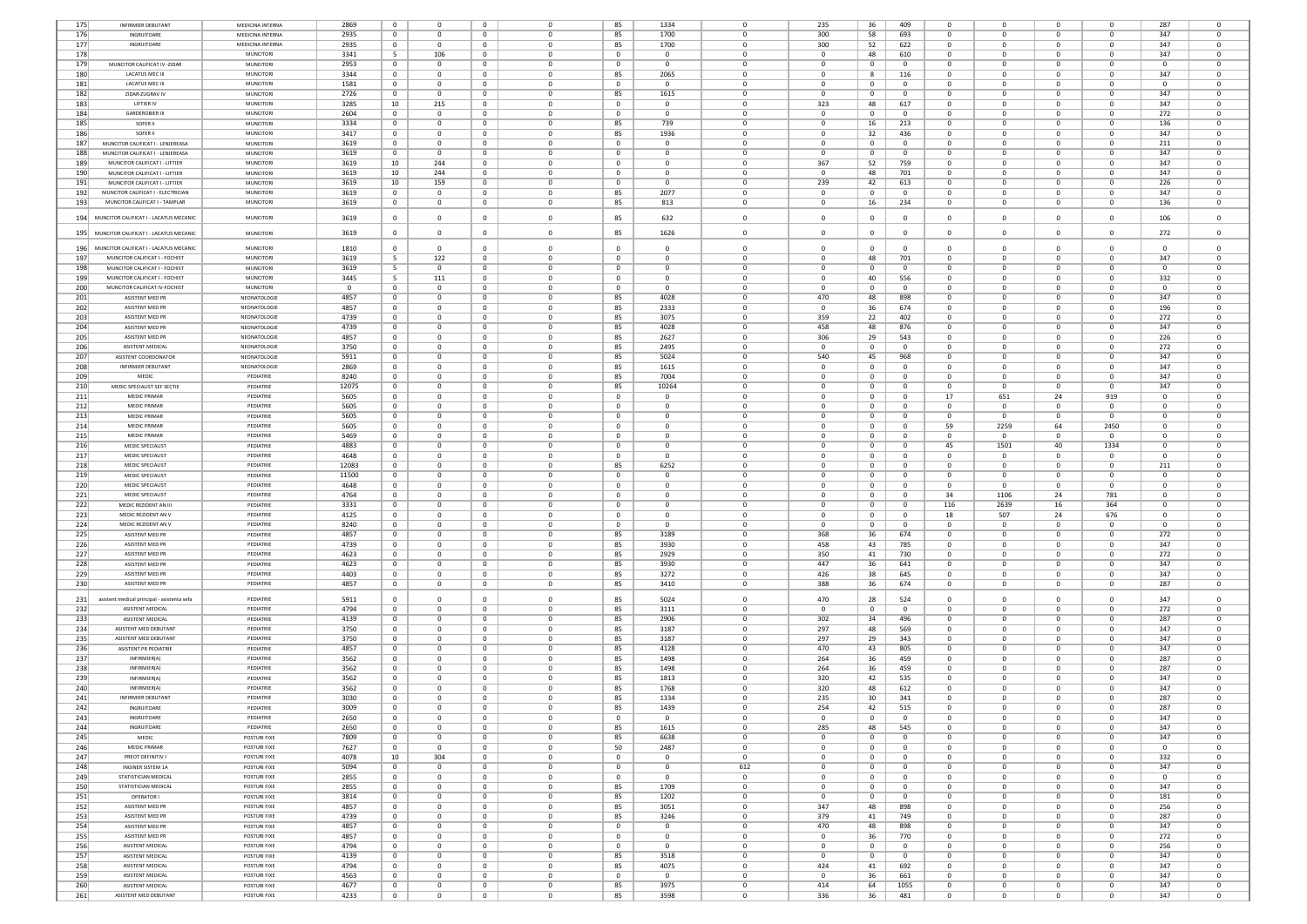| 175        | INFIRMIER DEBUTANT                          | MEDICINA INTERNA             | 2869         | $\mathbf{0}$                     | $\mathbf 0$    | $^{\circ}$                 | 0                       | 85             | 1334               | $\mathbf{0}$               | 235            | 36           | 409          | 0                             |              | o                       | $\mathbf{0}$             | 287            |                          |
|------------|---------------------------------------------|------------------------------|--------------|----------------------------------|----------------|----------------------------|-------------------------|----------------|--------------------|----------------------------|----------------|--------------|--------------|-------------------------------|--------------|-------------------------|--------------------------|----------------|--------------------------|
| 176        | INGRUITOARE                                 | MEDICINA INTERNA             | 2935         | $\mathbf{0}$                     | $\Omega$       | $^{\circ}$                 | 0                       | 85             | 1700               | $\Omega$                   | 300            | 58           | 693          | $^{\circ}$                    | $\Omega$     | $\Omega$                | $\Omega$                 | 347            | $\Omega$                 |
|            |                                             |                              |              |                                  |                |                            |                         |                |                    |                            |                |              |              |                               |              |                         |                          |                |                          |
| 177        | INGRIJITOARE                                | MEDICINA INTERNA             | 2935         | $\mathbf{0}$                     | $^{\circ}$     | $\mathbf{0}$               | $\mathbf 0$             | 85             | 1700               | $^{\circ}$                 | 300            | 52           | 622          | $^{\circ}$                    | $\Omega$     | $\mathbf 0$             | $^{\circ}$               | 347            | $^{\circ}$               |
| 178        |                                             | MUNCITORI                    | 3341         | 5                                | 106            | $\mathbf{0}$               | $\mathbf 0$             | $\,0\,$        | $^{\circ}$         | $\mathbf{0}$               | $\mathbf{0}$   | 48           | 610          | 0                             |              | $\mathbf 0$             | $\mathbf{0}$             | 347            | $\mathbf 0$              |
| 179        | MUNCITOR CALIFICAT IV -ZIDAR                | MUNCITOR                     | 2953         | $\overline{0}$                   | $^{\circ}$     | $\mathbf{0}$               | $\mathbf 0$             | $\mathbf 0$    | $^{\circ}$         | $\mathbf{0}$               | $\mathbf{0}$   | $\mathbf{0}$ | $\mathbf 0$  | 0                             | - 0          | $\mathbf 0$             | $^{\circ}$               | $\Omega$       | $^{\circ}$               |
| 180        | <b>LACATUS MEC III</b>                      | MUNCITORI                    | 3344         | $\overline{0}$                   | $\Omega$       | $^{\circ}$                 | $^{\circ}$              | 85             | 2065               | $\Omega$                   | $\Omega$       | -8           | 116          | $^{\circ}$                    | n            | $\Omega$                | $^{\circ}$               | 347            | $\Omega$                 |
| 181        | <b>LACATUS MEC III</b>                      | MUNCITORI                    | 1581         | $\overline{0}$                   | $\bf{0}$       | $\mathbf{0}$               | 0                       | $\overline{0}$ | 0                  | $\mathbf 0$                | $\mathbf 0$    | $\mathbf 0$  | $\mathbf{0}$ | 0                             | $\Omega$     | $\mathbf 0$             | $\mathbf{0}$             | $^{\circ}$     | $\mathbf 0$              |
| 182        | ZIDAR-ZUGRAV IV                             | MUNCITORI                    | 2726         | $\bf{0}$                         | $\bf{0}$       | $\mathbf{0}$               | $\mathbf 0$             | 85             | 1615               | $\mathbf{0}$               | $\mathbf 0$    | $\mathbf 0$  | $\mathbf{0}$ | 0                             |              | $\mathbf 0$             | $\mathbf{0}$             | 347            | $\mathbf 0$              |
| 183        | LIFTIER IV                                  | MUNCITORI                    | 3285         | 10                               | 215            | $^{\circ}$                 | $\mathbf 0$             | $\mathbf{0}$   | $\mathbf 0$        | $\mathbf{0}$               | 323            | 48           | 617          | 0                             |              | $\mathbf 0$             | $^{\circ}$               | 347            | $\mathbf 0$              |
| 184        | <b>GARDEROBIER III</b>                      | MUNCITORI                    | 2604         | $\circ$                          | $\Omega$       | $^{\circ}$                 | $\Omega$                | $\overline{0}$ | $\Omega$           | $\Omega$                   | $\Omega$       | $^{\circ}$   | $\Omega$     | $\Omega$                      |              | $\Omega$                | $^{\circ}$               | 272            | $\Omega$                 |
| 185        | SOFER II                                    | MUNCITORI                    | 3334         | $\overline{0}$                   | $^{\circ}$     | $\mathbf{0}$               | $\mathbf 0$             | 85             | 739                | $^{\circ}$                 | $\mathbf{0}$   | 16           | 213          | 0                             |              | $\mathbf 0$             | $^{\circ}$               | 136            | $^{\circ}$               |
| 186        | SOFER II                                    | MUNCITOR                     | 3417         | $^{\circ}$                       | $\mathbf{0}$   | $\mathbf{0}$               | $\mathbf 0$             | 85             | 1936               | $\mathbf{0}$               | $\overline{0}$ | 32           | 436          | 0                             |              | $\mathbf 0$             | $\mathbf{0}$             | 347            | $\mathbf 0$              |
|            |                                             |                              |              |                                  |                |                            |                         |                |                    |                            |                |              |              |                               |              |                         |                          |                |                          |
| 187        | MUNCITOR CALIFICAT I - LENJEREASA           | MUNCITOR                     | 3619         | $\mathbf{0}$                     | $\mathbf{0}$   | $\mathbf{0}$               | $\mathbf 0$             | $\mathbf 0$    | $\mathbf 0$        | $\mathbf{0}$               | $\overline{0}$ | $\mathbf{0}$ | $\mathbf 0$  | $\Omega$                      |              | $\mathbf 0$             | $^{\circ}$               | 211            | $^{\circ}$               |
| 188        | MUNCITOR CALIFICAT I - LENJEREASA           | <b>MUNCITORI</b>             | 3619         | $\Omega$                         | $\Omega$       | $\mathbf{0}$               | $\Omega$                | $\Omega$       | $\Omega$           | $\Omega$                   | $\Omega$       | $\Omega$     | $\Omega$     | $\Omega$                      | n            | $\Omega$                | $\Omega$                 | 347            | $\Omega$                 |
| 189        | MUNCITOR CALIFICAT I - LIFTIER              | MUNCITORI                    | 3619         | 10                               | 244            | $\mathbf{0}$               | $\mathbf 0$             | $\mathbf 0$    | $^{\circ}$         | $\mathbf 0$                | 367            | 52           | 759          | $^{\circ}$                    | $\Omega$     | $\mathbf 0$             | $\mathbf{0}$             | 347            | $\mathbf 0$              |
| 190        | MUNCITOR CALIFICAT I - LIFTIER              | MUNCITORI                    | 3619         | 10                               | 244            | $\mathbf{0}$               | $\mathbf 0$             | 0              | $^{\circ}$         | $\mathbf{0}$               | $\overline{0}$ | 48           | 701          | $^{\circ}$                    |              | $\mathbf 0$             | $\mathbf{0}$             | 347            | $\mathbf 0$              |
| 191        | MUNCITOR CALIFICAT I - LIFTIER              | MUNCITORI                    | 3619         | 10                               | 159            | $\mathbf{0}$               | $\mathbf 0$             | $\mathbf{0}$   | $\mathbf 0$        | $\overline{0}$             | 239            | 42           | 613          | $^{\circ}$                    | 0            | $\mathbf 0$             | $\circ$                  | 226            | $\mathbf{0}$             |
| 192        | MUNCITOR CALIFICAT I - ELECTRICIAN          | MUNCITORI                    | 3619         | $^{\circ}$                       | $^{\circ}$     | $\mathbf{0}$               | $^{\circ}$              | 85             | 2077               | $\Omega$                   | $^{\circ}$     | $^{\circ}$   | $^{\circ}$   | $^{\circ}$                    | 0            | $\Omega$                | $^{\circ}$               | 347            | $^{\circ}$               |
| 193        | MUNCITOR CALIFICAT I - TAMPLAR              | MUNCITORI                    | 3619         | $\overline{0}$                   | $\bf{0}$       | $\mathbf{0}$               | $\mathbf 0$             | 85             | 813                | $\overline{0}$             | $\bf{0}$       | 16           | 234          | 0                             | $^{\circ}$   | $\mathbf 0$             | $\bf{0}$                 | 136            | $\bf{0}$                 |
|            |                                             |                              |              |                                  |                |                            |                         |                |                    |                            |                |              |              |                               |              |                         |                          |                |                          |
|            | 194 MUNCITOR CALIFICAT I - LACATUS MECANIC  | MUNCITORI                    | 3619         | $\overline{0}$                   | $\mathbf{0}$   | $\overline{0}$             | $\mathbf 0$             | 85             | 632                | $\overline{0}$             | $\mathbf{0}$   | $\mathbf{0}$ | $\mathbf 0$  | $^{\circ}$                    | $^{\circ}$   | $\mathbf 0$             | $\circ$                  | 106            | $\mathbf 0$              |
|            | 195 MUNCITOR CALIFICAT I - LACATUS MECANIC  | MUNCITOR                     | 3619         | $\overline{0}$                   | $^{\circ}$     | $^{\circ}$                 | $\mathbf 0$             | 85             | 1626               | $\mathbf{0}$               | $\overline{0}$ | 0            | $\mathbf{0}$ | $^{\circ}$                    | $\Omega$     | $\mathbf 0$             | $\mathbf{0}$             | 272            | $^{\circ}$               |
|            |                                             |                              |              |                                  |                |                            |                         |                |                    |                            |                |              |              |                               |              |                         |                          |                |                          |
|            | 196 MUNCITOR CALIFICAT I - LACATUS MECANIC  | MUNCITORI                    | 1810         | $\Omega$                         | $\Omega$       | $\Omega$                   | $\Omega$                | $\Omega$       | $\Omega$           | $\Omega$                   | $\Omega$       | $\Omega$     | $\Omega$     | $\Omega$                      |              | $\Omega$                | $\Omega$                 | $\Omega$       | $\Omega$                 |
| 197        | MUNCITOR CALIFICAT I - FOCHIST              | MUNCITORI                    | 3619         | 5 <sup>5</sup>                   | 122            | $\mathbf{0}$               | $\mathbf 0$             | $\overline{0}$ | $\Omega$           | $^{\circ}$                 | $^{\circ}$     | 48           | 701          | $^{\circ}$                    | $\Omega$     | $^{\circ}$              | $\bf{0}$                 | 347            | $\mathbf{0}$             |
| 198        | MUNCITOR CALIFICAT I - FOCHIST              | MUNCITORI                    | 3619         | 5 <sup>5</sup>                   | $^{\circ}$     | $\mathbf{0}$               | $\mathbf 0$             | $\mathbf 0$    | $^{\circ}$         | $\Omega$                   | $\mathbf{0}$   | $\mathbf{0}$ | $\mathbf{0}$ | 0                             | $\Omega$     | $\mathbf 0$             | $^{\circ}$               | $\Omega$       | $^{\circ}$               |
| 199        | MUNCITOR CALIFICAT I - FOCHIST              | MUNCITORI                    | 3445         | 5                                | 111            | $\mathbf{0}$               | $\mathbf 0$             | $^{\circ}$     | $\overline{0}$     | $\mathbf{0}$               | $\mathbf 0$    | 40           | 556          | 0                             |              | $\mathbf 0$             | $\mathbf 0$              | 332            | $\mathbf 0$              |
| 200        | MUNCITOR CALIFICAT IV-FOCHIST               | MUNCITORI                    | $^{\circ}$   | $\overline{0}$                   | $^{\circ}$     | $\mathbf{0}$               | $\mathbf 0$             | $\overline{0}$ | $\overline{0}$     | $\Omega$                   | $\mathbf{0}$   | $^{\circ}$   | $^{\circ}$   | 0                             |              | $\mathbf 0$             | $^{\circ}$               | $\Omega$       | $^{\circ}$               |
| 201        | ASISTENT MED PR                             | NEONATOLOGIE                 |              | $^{\circ}$                       | $\Omega$       | $^{\circ}$                 | 0                       |                | 4028               | $\Omega$                   | 470            |              |              | 0                             |              | $\Omega$                | $\Omega$                 | 347            | $\Omega$                 |
|            |                                             |                              | 4857         |                                  |                |                            |                         | 85             |                    |                            |                | 48           | 898          |                               |              |                         |                          |                |                          |
| 202        | ASISTENT MED PR                             | NEONATOLOGIE                 | 4857         | 0                                | $\bf{0}$       | $\mathbf{0}$               | $\mathbf 0$             | 85             | 2333               | $\mathbf{0}$               | $\mathbf 0$    | 36           | 674          | $^{\circ}$                    | $\Omega$     | $\mathbf 0$             | $^{\circ}$               | 196            | $\mathbf 0$              |
| 203        | ASISTENT MED PR                             | NEONATOLOGIE                 | 4739         | 0                                | $\mathbf 0$    | $\mathbf{0}$               | $\mathbf 0$             | 85             | 3075               | $\mathbf{0}$               | 359            | 22           | 402          | 0                             |              | $\mathbf 0$             | $\mathbf{0}$             | 272            | 0                        |
| 204        | ASISTENT MED PR                             | NEONATOLOGIE                 | 4739         | $^{\circ}$                       | $^{\circ}$     | $^{\circ}$                 | $\mathbf 0$             | 85             | 4028               | $\mathbf{0}$               | 458            | 48           | 876          | 0                             |              | $\mathbf 0$             | $^{\circ}$               | 347            | $^{\circ}$               |
| 205        | ASISTENT MED PR                             | NEONATOLOGIE                 | 4857         | $^{\circ}$                       | $\Omega$       | $\mathbf{0}$               | $\Omega$                | 85             | 2627               | $\Omega$                   | 306            | 29           | 543          | $\Omega$                      | n            | $\Omega$                | $^{\circ}$               | 226            | $\Omega$                 |
| 206        | <b>ASISTENT MEDICAL</b>                     | NEONATOLOGIE                 | 3750         | $\overline{0}$                   | $^{\circ}$     | $\mathbf{0}$               | $\mathbf 0$             | 85             | 2495               | $^{\circ}$                 | $^{\circ}$     | $\mathbf{0}$ | $\mathbf{0}$ | 0                             |              | $\mathbf 0$             | $\mathbf{0}$             | 272            | $^{\circ}$               |
| 207        | ASISTENT COORDONATOR                        | NEONATOLOGIE                 | 5911         | $^{\circ}$                       | $\mathbf 0$    | $\mathbf{0}$               | $\mathbf 0$             | 85             | 5024               | $\mathbf{0}$               | 540            | 45           | 968          | 0                             |              | $\mathbf 0$             | $\mathbf{0}$             | 347            | $\mathbf 0$              |
| 208        | INFIRMIER DEBUTANT                          | NEONATOLOGIE                 | 2869         | $\overline{0}$                   | $^{\circ}$     | $\mathbf{0}$               | $\mathbf 0$             | 85             | 1615               | $\mathbf{0}$               | $\overline{0}$ | $\mathbf{0}$ | $^{\circ}$   | 0                             |              | $\mathbf 0$             | $^{\circ}$               | 347            | $^{\circ}$               |
| 209        | MEDIC                                       | PEDIATRIE                    | 8240         | $\overline{0}$                   | $\Omega$       | $\mathbf{0}$               | $^{\circ}$              | 85             | 7004               | $\Omega$                   | $\Omega$       | $^{\circ}$   | $^{\circ}$   | $^{\circ}$                    | n            | $^{\circ}$              | $^{\circ}$               | 347            | $^{\circ}$               |
| 210        | MEDIC SPECIALIST SEF SECTIE                 | PEDIATRIE                    | 12075        | $\overline{0}$                   | $\bf{0}$       | $\mathbf{0}$               | 0                       | 85             | 10264              | $\mathbf 0$                | $\mathbf 0$    | $\mathbf 0$  | $\mathbf{0}$ | 0                             | $\Omega$     | $\mathbf 0$             | $\mathbf{0}$             | 347            | $\bf{0}$                 |
| 211        | MEDIC PRIMAR                                | PEDIATRIE                    | 5605         | $\bf{0}$                         | $\mathbf 0$    | $\mathbf{0}$               | $\mathbf 0$             | 0              | $\overline{0}$     | $\mathbf{0}$               | $\mathbf 0$    | $\mathbf 0$  | $\mathbf{0}$ | 17                            | 651          | 24                      | 919                      | $\mathbf 0$    | $\mathbf 0$              |
| 212        | <b>MEDIC PRIMAR</b>                         | PEDIATRIE                    | 5605         | $\mathbf{0}$                     | $\mathbf{0}$   | $\mathbf{0}$               | $\mathbf 0$             | $\mathbf 0$    | $\mathbf 0$        | $\mathbf{0}$               | $\overline{0}$ | $^{\circ}$   | $^{\circ}$   | 0                             | 0            | $\mathbf 0$             | $\circ$                  | $^{\circ}$     | $\mathbf{0}$             |
|            |                                             | PEDIATRIE                    |              |                                  |                |                            |                         |                |                    |                            |                |              |              |                               |              |                         |                          |                |                          |
| 213        | <b>MEDIC PRIMAR</b>                         |                              | 5605         | $\circ$                          | $\Omega$       | $\mathbf{0}$               | $\Omega$                | $^{\circ}$     | $\Omega$           | $\Omega$                   | $\Omega$       | $^{\circ}$   | $^{\circ}$   | $\Omega$                      | 0            | $\Omega$                | $\Omega$                 | $\Omega$       | $\Omega$                 |
| 214        | <b>MEDIC PRIMAR</b>                         | PEDIATRIE                    | 5605         | $\overline{0}$                   | $^{\circ}$     | $\mathbf{0}$               | $\mathbf 0$             | $\overline{0}$ | $^{\circ}$         | $\Omega$                   | $^{\circ}$     | $\mathbf{0}$ | $^{\circ}$   | 59                            | 2259         | 64                      | 2450                     | $^{\circ}$     | $^{\circ}$               |
| 215        | MEDIC PRIMAR                                | PEDIATRIE                    | 5469         | $^{\circ}$                       | $^{\circ}$     | $\mathbf{0}$               | $\mathbf 0$             | $\mathbf 0$    | $^{\circ}$         | $\mathbf{0}$               | $\overline{0}$ | $\mathbf 0$  | $^{\circ}$   | 0                             | $\mathbf 0$  | $\mathbf 0$             | $^{\circ}$               | $\Omega$       | $\mathbf 0$              |
| 216        | MEDIC SPECIALIST                            | PEDIATRIE                    | 4883         | $\overline{0}$                   | $^{\circ}$     | $\mathbf{0}$               | $\mathbf 0$             | $\mathbf 0$    | $^{\circ}$         | $\mathbf{0}$               | $\overline{0}$ | $^{\circ}$   | $\mathbf 0$  | 45                            | 1501         | 40                      | 1334                     | $\Omega$       | $\mathbf 0$              |
| 217        | MEDIC SPECIALIST                            | PEDIATRIE                    | 4648         | $\overline{\mathbf{0}}$          | $\Omega$       | $\Omega$                   | $^{\circ}$              | $\overline{0}$ | $\Omega$           | $\Omega$                   | $\Omega$       | $\Omega$     | $\Omega$     | $\Omega$                      | n            | $\Omega$                | $\Omega$                 | $\Omega$       | $\Omega$                 |
| 218        | MEDIC SPECIALIST                            | PEDIATRIE                    | 12083        | 0                                | $\mathbf 0$    | $\mathbf{0}$               | 0                       | 85             | 6252               | $\mathbf 0$                | $\mathbf 0$    | $\mathbf 0$  | $\mathbf{0}$ | 0                             | $\Omega$     | $\mathbf 0$             | $\mathbf{0}$             | 211            | $\mathbf 0$              |
| 219        | MEDIC SPECIALIST                            | PEDIATRIE                    | 11500        | $\bf{0}$                         | $\mathbf 0$    | $\mathbf{0}$               | $\mathbf 0$             | 0              | 0                  | $\mathbf{0}$               | $\mathbf 0$    | $\mathbf 0$  | $\mathbf{0}$ | 0                             | $^{\circ}$   | $\mathbf 0$             | $\mathbf{0}$             | $^{\circ}$     | $\mathbf 0$              |
|            | MEDIC SPECIALIST                            | PEDIATRIE                    | 4648         | $^{\circ}$                       | $^{\circ}$     | $^{\circ}$                 | $\mathbf 0$             | $\mathbf{0}$   | $\mathbf 0$        | $\overline{0}$             | $\mathbf{0}$   | $^{\circ}$   | $^{\circ}$   | 0                             | 0            | $\mathbf 0$             | $^{\circ}$               | $^{\circ}$     | $^{\circ}$               |
|            |                                             |                              |              |                                  |                |                            |                         |                | $\Omega$           |                            |                |              | $^{\circ}$   |                               |              |                         |                          |                |                          |
| 220        |                                             |                              |              |                                  |                |                            |                         |                |                    |                            |                |              |              |                               |              |                         |                          |                |                          |
| 221        | MEDIC SPECIALIST                            | PEDIATRIE                    | 4764         | $\circ$                          | $\Omega$       | $^{\circ}$                 | 0                       | $^{\circ}$     |                    | $\Omega$                   | $\Omega$       | $\mathbf{0}$ |              | 34                            | 1106         | -24                     | 781                      | $^{\circ}$     | $\Omega$                 |
| 222        | MEDIC REZIDENT AN III                       | PEDIATRIE                    | 3331         | $\overline{0}$                   | $^{\circ}$     | $\mathbf{0}$               | $\mathbf 0$             | $\mathbf{0}$   | $^{\circ}$         | $^{\circ}$                 | $\mathbf{0}$   | $\mathbf{0}$ | $\mathbf{0}$ | 116                           | 2639         | 16                      | 364                      | $^{\circ}$     | $^{\circ}$               |
| 223        | MEDIC REZIDENT AN V                         | PEDIATRIE                    | 4125         | $^{\circ}$                       | $\mathbf 0$    | $\mathbf{0}$               | $\mathbf 0$             | $^{\circ}$     | $^{\circ}$         | $\mathbf{0}$               | $\overline{0}$ | $\mathbf 0$  | $^{\circ}$   | 18                            | 507          | 24                      | 676                      | $\Omega$       | $\mathbf 0$              |
| 224        | MEDIC REZIDENT AN V                         | PEDIATRIE                    | 8240         | $\mathbf{0}$                     | $\mathbf{0}$   | $\mathbf{0}$               | $\mathbf 0$             | $\mathbf 0$    | $\Omega$           | $\mathbf{0}$               | $\overline{0}$ | $\mathbf{0}$ | $\mathbf 0$  | 0                             |              | $\mathbf 0$             | $\circ$                  | $\Omega$       | $\mathbf 0$              |
| 225        | ASISTENT MED PR                             | PEDIATRIE                    | 4857         | $\Omega$                         | $\Omega$       | $\mathbf{0}$               | $\Omega$                | 85             | 3189               | $\Omega$                   | 368            | 36           | 674          | $\Omega$                      | n            | $\Omega$                | $\Omega$                 | 272            | $\Omega$                 |
| 226        | ASISTENT MED PR                             | PEDIATRIE                    | 4739         | $\overline{0}$                   | $^{\circ}$     | $\mathbf{0}$               | $\mathbf 0$             | 85             | 3930               | $\mathbf{0}$               | 458            | 43           | 785          | $^{\circ}$                    | $\Omega$     | $\mathbf 0$             | $^{\circ}$               | 347            | $\mathbf 0$              |
| 227        | ASISTENT MED PR                             | PEDIATRIE                    | 4623         | $\bf{0}$                         | $\mathbf 0$    | $\mathbf{0}$               | $\mathbf 0$             | 85             | 2929               | $\mathbf{0}$               | 350            | 41           | 730          | $^{\circ}$                    |              | $\mathbf 0$             | $\bf{0}$                 | 272            | $\mathbf 0$              |
| 228        | ASISTENT MED PR                             | PEDIATRIE                    | 4623         | $\overline{0}$                   | $^{\circ}$     | $^{\circ}$                 | $\mathbf 0$             | 85             | 3930               | $\overline{0}$             | 447            | 36           | 641          | $^{\circ}$                    | 0            | $\mathbf 0$             | $^{\circ}$               | 347            | $\mathbf{0}$             |
| 229        | ASISTENT MED PR                             | PEDIATRIE                    | 4403         | $\circ$                          | $\Omega$       | $\mathbf{0}$               | $\Omega$                | 85             | 3272               | $\Omega$                   | 426            | 38           | 645          | $^{\circ}$                    | n            | $\Omega$                | $^{\circ}$               | 347            | $\Omega$                 |
| 230        | ASISTENT MED PR                             | PEDIATRIE                    | 4857         | $\overline{0}$                   | $^{\circ}$     | $\mathbf{0}$               | $^{\circ}$              | 85             | 3410               | $\Omega$                   | 388            | 36           | 674          | $^{\circ}$                    | $\Omega$     | $\Omega$                | $^{\circ}$               | 287            | $^{\circ}$               |
|            |                                             |                              |              |                                  |                |                            |                         |                |                    |                            |                |              |              |                               |              |                         |                          |                |                          |
| 231        | asistent medical principal - asistenta sefa | PEDIATRIE                    | 5911         | $\mathbf 0$                      | $\mathbf{0}$   | $^{\circ}$                 | $\mathbf 0$             | 85             | 5024               | $\mathbf 0$                | 470            | 28           | 524          | $\Omega$                      | $\Omega$     | $\mathbf 0$             | $\circ$                  | 347            | $\mathbf 0$              |
| 232        | <b>ASISTENT MEDICAL</b>                     | PEDIATRIE                    | 4794         | $\overline{0}$                   | $\Omega$       | $\mathbf{0}$               | $^{\circ}$              | 85             | 3111               | $\Omega$                   | $\Omega$       | $\mathbf{0}$ | $^{\circ}$   | $\Omega$                      | n            | $\Omega$                | $^{\circ}$               | 272            | $^{\circ}$               |
| 233        | ASISTENT MEDICAL                            | PEDIATRIE                    | 4139         | $\overline{0}$                   | $\bf{0}$       | $\mathbf{0}$               | 0                       | 85             | 2906               | $\mathbf 0$                | 302            | 34           | 496          | 0                             | $\Omega$     | $\mathbf 0$             | $\bf{0}$                 | 287            | $\mathbf 0$              |
| 234        | ASISTENT MED DEBUTANT                       | PEDIATRIE                    | 3750         | $\bf{0}$                         | $\mathbf 0$    | $\mathbf{0}$               | $\mathbf 0$             | 85             | 3187               | $\mathbf{0}$               | 297            | 48           | 569          | 0                             |              | $\mathbf 0$             | $\bf{0}$                 | 347            | $\mathbf 0$              |
| 235        | ASISTENT MED DEBUTANT                       | PEDIATRIE                    | 3750         | $\mathbf{0}$                     | $\mathbf{0}$   | $\mathbf{0}$               | $\mathbf 0$             | 85             | 3187               | $\mathbf{0}$               | 297            | 29           | 343          | 0                             |              | $\mathbf 0$             | $^{\circ}$               | 347            | $\mathbf{0}$             |
| 236        | ASISTENT PR PEDIATRIE                       | PEDIATRIE                    | 4857         | $^{\circ}$                       | $\Omega$       | $\mathbf{0}$               | $\Omega$                | 85             | 4128               | $\Omega$                   | 470            | 43           | 805          | $\Omega$                      | n            | $\Omega$                | $^{\circ}$               | 347            | $\Omega$                 |
| 237        | INFIRMIER(A)                                | PEDIATRIE                    | 3562         | $\mathbf{0}$                     | $^{\circ}$     | $\mathbf{0}$               | $\Omega$                | 85             | 1498               | $\Omega$                   | 264            | 36           | 459          | $^{\circ}$                    | $\Omega$     | $\Omega$                | $^{\circ}$               | 287            | $\Omega$                 |
| 238        | INFIRMIER(A)                                | PEDIATRIE                    | 3562         | $\bf{0}$                         | $\mathbf{0}$   | $\mathbf{0}$               | $\Omega$                | 85             | 1498               | $\Omega$                   | 264            | 36           | 459          | 0                             |              | $^{\circ}$              | $^{\circ}$               | 287            | $\Omega$                 |
| 239        | INFIRMIER(A                                 | PEDIATRIE                    | 3562         | $\mathbf 0$                      | $\mathbf 0$    | $^{\circ}$                 |                         | 85             | 1813               |                            | 320            | 42           | 535          | 0                             |              | $\mathbf 0$             | $\mathbf 0$              | 347            | O                        |
| 240        | INFIRMIER(A)                                | PEDIATRIE                    | 3562         | $\overline{0}$                   | $\mathbf{0}$   | $\mathbf{0}$               | $\Omega$                | 85             | 1768               | $\Omega$                   | 320            | 48           | 612          | 0                             |              | $\Omega$                | $^{\circ}$               | 347            | $\Omega$                 |
| 241        | INFIRMIER DEBUTAN                           | PEDIATRIE                    | 3030         | $^{\circ}$                       | $^{\circ}$     | $\mathbf{0}$               | 0                       | 85             | 1334               | $\Omega$                   | 235            | 30           | 341          | $^{\circ}$                    |              | $\mathbf 0$             | $^{\circ}$               | 287            | $^{\circ}$               |
|            | INGRUITOARE                                 | PEDIATRIE                    |              | $^{\circ}$                       | $\Omega$       |                            | $\Omega$                |                |                    | $\Omega$                   |                |              |              | $\Omega$                      |              | $\Omega$                | $\Omega$                 |                | $\Omega$                 |
| 242        |                                             | PEDIATRIE                    | 3009         |                                  |                | $\mathbf{0}$               |                         | 85             | 1439<br>$^{\circ}$ |                            | 254            | 42           | 515          | $^{\circ}$                    | $^{\circ}$   |                         |                          | 287            |                          |
| 243        | INGRIJITOARE                                |                              | 2650         | $\bf{0}$                         | $\mathsf 0$    | $\mathbf{0}$               | $\mathbf 0$             | $\,0\,$        |                    | $\mathbf 0$                | $\mathbf 0$    | $\mathbf{0}$ | $\mathbf{0}$ |                               |              | $\bf 0$                 | $\bf{0}$                 | 347            | $\mathbf 0$              |
| 244        | INGRIJITOARE                                | PEDIATRIE                    | 2650         | $\overline{0}$                   | $\overline{0}$ | $\overline{0}$             | $\overline{0}$          | 85             | 1615               | $\overline{0}$             | 285            | 48           | 545          | $^{\circ}$                    | $\Omega$     | $\overline{0}$          | $^{\circ}$               | 347            | $^{\circ}$               |
| 245        | MEDIC                                       | POSTURI FIXE                 | 7809         | $\mathbf{0}$                     | $\Omega$       | $\mathbf 0$                | $\Omega$                | 85             | 6638               | $\Omega$                   | $\Omega$       | $\mathbf{0}$ | $^{\circ}$   | $\Omega$                      | $\Omega$     | $\Omega$                | $\mathbf{0}$             | 347            | $\Omega$                 |
| 246        | <b>MEDIC PRIMAR</b>                         | POSTURI FIXE                 | 7627         | $\overline{0}$                   | $^{\circ}$     | $\mathbf{0}$               | $^{\circ}$              | 50             | 2487               | $\overline{0}$             | $^{\circ}$     | $\mathbf{0}$ | $\mathbf{0}$ | $^{\circ}$                    | $^{\circ}$   | $^{\circ}$              | $\bf{0}$                 | $\overline{0}$ | $\mathbf{0}$             |
| 247        | PREOT DEFINITIV I                           | POSTURI FIXE                 | 4078         | 10                               | 304            | $\mathbf{0}$               | $\mathbf 0$             | $\overline{0}$ | $\mathbf{0}$       | $\circ$                    | $\mathbf{0}$   | $\mathbf{0}$ | $\mathbf{0}$ | $^{\circ}$                    | $^{\circ}$   | $\mathbf 0$             | $\mathbf{0}$             | 332            | $\mathbf{0}$             |
| 248        | INGINER SISTEM 1A                           | POSTURI FIXE                 | 5094         | $\mathbf{0}$                     | $\mathbf{0}$   | $\mathbf{0}$               | $\mathbf 0$             | $\overline{0}$ | $\mathbf 0$        | 612                        | $\mathbf{0}$   | $\mathbf{0}$ | $\mathbf 0$  | $\mathbf 0$                   | $\Omega$     | $\mathbf 0$             | $\circ$                  | 347            | $\mathbf{0}$             |
| 249        | STATISTICIAN MEDICAL                        | POSTURI FIXE                 | 2855         | $\mathbf{0}$                     | $^{\circ}$     | $\mathbf{0}$               | $\overline{0}$          | $\overline{0}$ | $\Omega$           | $\overline{0}$             | $^{\circ}$     | $^{\circ}$   | $^{\circ}$   | $^{\circ}$                    | $\Omega$     | $\mathbf 0$             | $^{\circ}$               | $\Omega$       | $^{\circ}$               |
| 250        | STATISTICIAN MEDICAL                        | POSTURI FIXE                 | 2855         | $\overline{0}$                   | $\bf{0}$       | $\mathbf{0}$               | 0                       | 85             | 1709               | $\mathbf{0}$               | $\bf{0}$       | $\mathbf{0}$ | $\mathbf{0}$ | 0                             | $\mathbf{0}$ | $\mathbf 0$             | $^{\circ}$               | 347            | $\bf{0}$                 |
| 251        | OPERATOR I                                  | POSTURI FIXE                 | 3814         | $\mathbf{0}$                     | $\mathbf{0}$   | $\mathbf{0}$               | $\mathbf 0$             | 85             | 1202               | $\circ$                    | $\mathsf 0$    | $\mathbf{0}$ | $\mathbf 0$  | $\mathbf 0$                   | $^{\circ}$   | $\mathbf 0$             | $\mathbf{0}$             | 181            | $\circ$                  |
| 252        | ASISTENT MED PR                             | POSTURI FIXE                 | 4857         | $\overline{0}$                   | $\mathbf{0}$   | $^{\circ}$                 | $\mathbf 0$             | 85             | 3051               | $\overline{0}$             | 347            | 48           | 898          | $\mathbf 0$                   | $^{\circ}$   | $\mathbf 0$             | $\circ$                  | 256            | $\mathbf{0}$             |
| 253        | ASISTENT MED PR                             | POSTURI FIXE                 | 4739         | $\Omega$                         | $\Omega$       | $^{\circ}$                 | $\Omega$                |                | 3246               | $\Omega$                   | 379            | 41           | 749          | $\Omega$                      | $\Omega$     | $\Omega$                | $\Omega$                 | 287            | $\Omega$                 |
|            |                                             |                              |              |                                  |                |                            |                         | 85             |                    |                            |                |              |              |                               |              |                         |                          |                |                          |
| 254        | ASISTENT MED PR                             | POSTURI FIXE                 | 4857         | $\overline{0}$                   | $^{\circ}$     | $\mathbf{0}$               | $^{\circ}$              | $\mathbf{0}$   | $\overline{0}$     | $\overline{0}$             | 470            | 48           | 898          | $^{\circ}$                    | $^{\circ}$   | $\mathbf 0$             | $\mathbf{0}$             | 347            | $\mathbf{0}$             |
| 255        | ASISTENT MED PR                             | POSTURI FIXE                 | 4857         | $\overline{0}$                   | $^{\circ}$     | $\mathbf{0}$               | $\mathbf 0$             | $\overline{0}$ | $\mathbf 0$        | $\circ$                    | $\mathsf 0$    | 36           | 770          | $^{\circ}$                    | $^{\circ}$   | $\mathbf 0$             | $\mathbf{0}$             | 272            | $^{\circ}$               |
| 256        | ASISTENT MEDICAL                            | POSTURI FIXE                 | 4794         | $\mathbf{0}$                     | $^{\circ}$     | $\mathbf{0}$               | $\mathbf 0$             | $\overline{0}$ | $\mathbf{0}$       | $\circ$                    | $\mathbf{0}$   | $\mathbf{0}$ | $\mathbf 0$  | $\mathbf 0$                   | $\Omega$     | $\mathbf 0$             | $\circ$                  | 256            | $\mathbf{0}$             |
| 257        | <b>ASISTENT MEDICAL</b>                     | POSTURI FIXE                 | 4139         | $\overline{0}$                   | $^{\circ}$     | $^{\circ}$                 | $\overline{0}$          | 85             | 3518               | $\overline{0}$             | $^{\circ}$     | $^{\circ}$   | $\Omega$     | $^{\circ}$                    | $\Omega$     | $\Omega$                | $^{\circ}$               | 347            | $^{\circ}$               |
| 258        | ASISTENT MEDICAL                            | POSTURI FIXE                 | 4794         | $\overline{0}$                   | $\bf{0}$       | $\mathbf{0}$               | 0                       | 85             | 4075               | $\mathbf{0}$               | 424            | 41           | 692          | $\bf{0}$                      | $^{\circ}$   | 0                       | $\mathbf{0}$             | 347            | $\bf{0}$                 |
| 259        | ASISTENT MEDICAL                            | POSTURI FIXE                 | 4563         | $\overline{0}$                   | $\mathbf{0}$   | $\mathbf{0}$               | $\overline{0}$          | $\mathbf{0}$   | $\mathbf{0}$       | $\mathbf{0}$               | $\mathsf 0$    | 36           | 661          | 0                             | $^{\circ}$   | 0                       | $\mathbf{0}$             | 347            | $\bf{0}$                 |
| 260<br>261 | ASISTENT MEDICAL<br>ASISTENT MED DEBUTANT   | POSTURI FIXE<br>POSTURI FIXE | 4677<br>4233 | $\overline{0}$<br>$\overline{0}$ | $\mathbf{0}$   | $\mathbf{0}$<br>$^{\circ}$ | $\mathbf 0$<br>$\Omega$ | 85<br>85       | 3975<br>3598       | $\overline{0}$<br>$\Omega$ | 414<br>336     | 64<br>36     | 1055<br>481  | $\mathbf 0$<br>$\overline{0}$ | $\Omega$     | $\mathbf 0$<br>$\Omega$ | $\mathbf{0}$<br>$\Omega$ | 347<br>347     | $\mathbf{0}$<br>$\Omega$ |